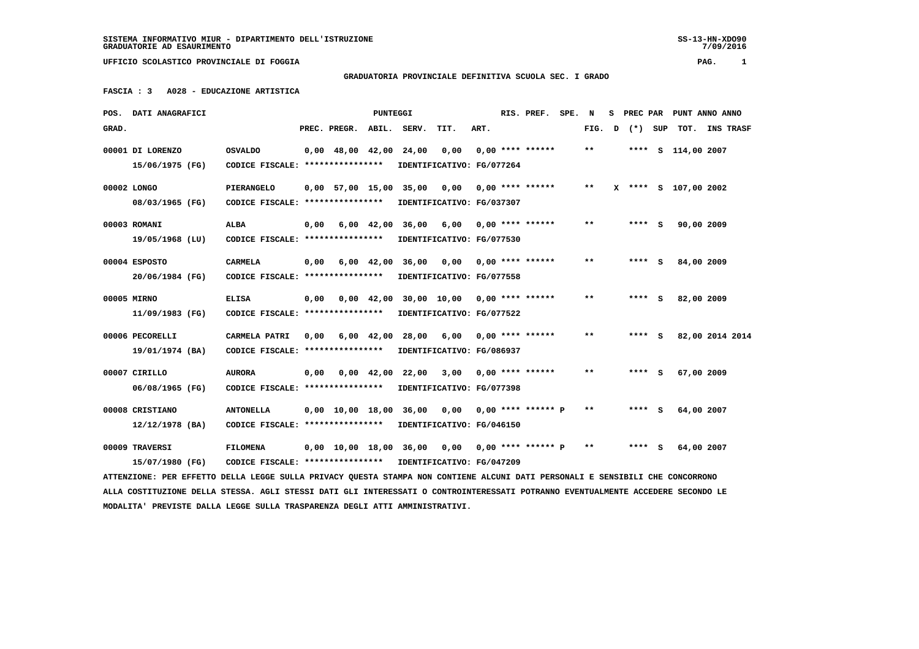SS-13-HN-XDO90<br>7/09/2016

 **UFFICIO SCOLASTICO PROVINCIALE DI FOGGIA PAG. 1**

## **GRADUATORIA PROVINCIALE DEFINITIVA SCUOLA SEC. I GRADO**

 **FASCIA : 3 A028 - EDUCAZIONE ARTISTICA**

| POS.  | DATI ANAGRAFICI                                                                                                                 |                                   |      |                        | <b>PUNTEGGI</b>    |                                                       |                                                        |      | RIS. PREF.           | SPE. | N                          | s | PREC PAR |   |                      | PUNT ANNO ANNO  |  |
|-------|---------------------------------------------------------------------------------------------------------------------------------|-----------------------------------|------|------------------------|--------------------|-------------------------------------------------------|--------------------------------------------------------|------|----------------------|------|----------------------------|---|----------|---|----------------------|-----------------|--|
| GRAD. |                                                                                                                                 |                                   |      | PREC. PREGR.           | ABIL.              | SERV.                                                 | TIT.                                                   | ART. |                      |      | FIG.                       | D | (*) SUP  |   |                      | TOT. INS TRASF  |  |
|       | 00001 DI LORENZO                                                                                                                | <b>OSVALDO</b>                    |      | $0,00$ 48,00 42,00     |                    | 24,00                                                 | 0,00                                                   |      | $0.00$ **** ******   |      | $\pmb{\times}\pmb{\times}$ |   |          |   | **** S 114,00 2007   |                 |  |
|       | 15/06/1975 (FG)                                                                                                                 | CODICE FISCALE: ****************  |      |                        |                    |                                                       | IDENTIFICATIVO: FG/077264                              |      |                      |      |                            |   |          |   |                      |                 |  |
|       | 00002 LONGO                                                                                                                     | PIERANGELO                        |      | 0,00 57,00 15,00 35,00 |                    |                                                       | 0,00                                                   |      | $0.00$ **** ******   |      | $***$                      |   |          |   | X **** S 107,00 2002 |                 |  |
|       | 08/03/1965 (FG)                                                                                                                 | CODICE FISCALE: ****************  |      |                        |                    |                                                       | IDENTIFICATIVO: FG/037307                              |      |                      |      |                            |   |          |   |                      |                 |  |
|       | 00003 ROMANI                                                                                                                    | <b>ALBA</b>                       | 0,00 |                        |                    |                                                       | $6,00$ $42,00$ $36,00$ $6,00$ $0,00$ $***$ **** ****** |      |                      |      | $* *$                      |   | **** S   |   | 90,00 2009           |                 |  |
|       | 19/05/1968 (LU)                                                                                                                 | CODICE FISCALE: ****************  |      |                        |                    |                                                       | IDENTIFICATIVO: FG/077530                              |      |                      |      |                            |   |          |   |                      |                 |  |
|       | 00004 ESPOSTO                                                                                                                   | <b>CARMELA</b>                    | 0,00 |                        | $6,00 \quad 42,00$ | 36,00                                                 | 0,00                                                   |      | $0.00$ **** ******   |      | $***$                      |   | **** S   |   | 84,00 2009           |                 |  |
|       | 20/06/1984 (FG)                                                                                                                 | CODICE FISCALE: ****************  |      |                        |                    |                                                       | IDENTIFICATIVO: FG/077558                              |      |                      |      |                            |   |          |   |                      |                 |  |
|       | 00005 MIRNO                                                                                                                     | <b>ELISA</b>                      | 0,00 |                        |                    |                                                       | $0,00$ 42,00 30,00 10,00 0,00 **** ******              |      |                      |      | $**$                       |   | **** S   |   | 82,00 2009           |                 |  |
|       | 11/09/1983 (FG)                                                                                                                 | CODICE FISCALE: ****************  |      |                        |                    |                                                       | IDENTIFICATIVO: FG/077522                              |      |                      |      |                            |   |          |   |                      |                 |  |
|       | 00006 PECORELLI                                                                                                                 | CARMELA PATRI                     | 0,00 |                        | $6,00$ $42,00$     |                                                       | 28,00 6,00                                             |      | $0.00$ **** ******   |      | * *                        |   | ****     | s |                      | 82,00 2014 2014 |  |
|       | 19/01/1974 (BA)                                                                                                                 | CODICE FISCALE: ****************  |      |                        |                    |                                                       | IDENTIFICATIVO: FG/086937                              |      |                      |      |                            |   |          |   |                      |                 |  |
|       | 00007 CIRILLO                                                                                                                   | <b>AURORA</b>                     | 0,00 |                        |                    | $0.00 \quad 42.00 \quad 22.00$                        | 3,00                                                   |      | $0.00$ **** ******   |      | **                         |   | **** S   |   | 67,00 2009           |                 |  |
|       | 06/08/1965 (FG)                                                                                                                 | CODICE FISCALE: ***************** |      |                        |                    |                                                       | IDENTIFICATIVO: FG/077398                              |      |                      |      |                            |   |          |   |                      |                 |  |
|       | 00008 CRISTIANO                                                                                                                 | <b>ANTONELLA</b>                  |      |                        |                    | $0.00 \quad 10.00 \quad 18.00 \quad 36.00 \quad 0.00$ |                                                        |      | $0.00$ **** ****** P |      | **                         |   | **** S   |   | 64,00 2007           |                 |  |
|       | $12/12/1978$ (BA)                                                                                                               | CODICE FISCALE: ****************  |      |                        |                    |                                                       | IDENTIFICATIVO: FG/046150                              |      |                      |      |                            |   |          |   |                      |                 |  |
|       | 00009 TRAVERSI                                                                                                                  | <b>FILOMENA</b>                   |      | 0,00 10,00 18,00 36,00 |                    |                                                       | 0,00                                                   |      | $0.00$ **** ****** P |      | $* *$                      |   | **** S   |   | 64,00 2007           |                 |  |
|       | 15/07/1980 (FG)                                                                                                                 | CODICE FISCALE: ***************** |      |                        |                    |                                                       | IDENTIFICATIVO: FG/047209                              |      |                      |      |                            |   |          |   |                      |                 |  |
|       | ATTENZIONE: PER EFFETTO DELLA LEGGE SULLA PRIVACY QUESTA STAMPA NON CONTIENE ALCUNI DATI PERSONALI E SENSIBILI CHE CONCORRONO   |                                   |      |                        |                    |                                                       |                                                        |      |                      |      |                            |   |          |   |                      |                 |  |
|       | ALLA COSTITUZIONE DELLA STESSA. AGLI STESSI DATI GLI INTERESSATI O CONTROINTERESSATI POTRANNO EVENTUALMENTE ACCEDERE SECONDO LE |                                   |      |                        |                    |                                                       |                                                        |      |                      |      |                            |   |          |   |                      |                 |  |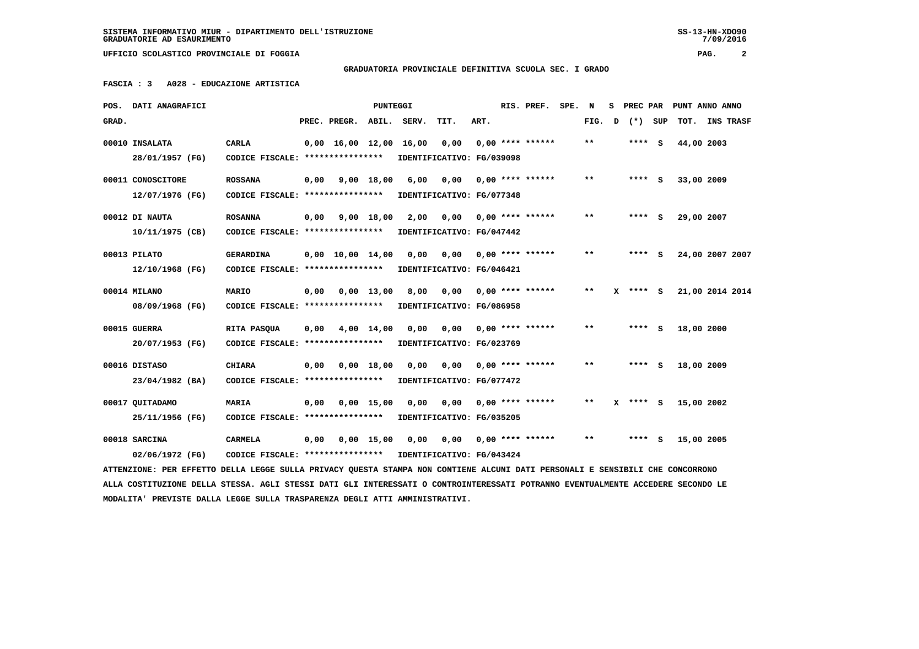**SISTEMA INFORMATIVO MIUR - DIPARTIMENTO DELL'ISTRUZIONE SS-13-HN-XDO90 GRADUATORIE AD ESAURIMENTO 7/09/2016**

 $7/09/2016$ 

 **UFFICIO SCOLASTICO PROVINCIALE DI FOGGIA PAG. 2**

 **GRADUATORIA PROVINCIALE DEFINITIVA SCUOLA SEC. I GRADO**

 **FASCIA : 3 A028 - EDUCAZIONE ARTISTICA**

|       | POS. DATI ANAGRAFICI                                                                                                            |                                                            |      |                                | <b>PUNTEGGI</b> |             |                           |      | RIS. PREF.                | SPE. | N     |   | S PREC PAR | PUNT ANNO ANNO  |  |
|-------|---------------------------------------------------------------------------------------------------------------------------------|------------------------------------------------------------|------|--------------------------------|-----------------|-------------|---------------------------|------|---------------------------|------|-------|---|------------|-----------------|--|
| GRAD. |                                                                                                                                 |                                                            |      | PREC. PREGR.                   |                 | ABIL. SERV. | TIT.                      | ART. |                           |      | FIG.  | D | (*) SUP    | TOT. INS TRASF  |  |
|       | 00010 INSALATA                                                                                                                  | <b>CARLA</b>                                               |      | 0,00 16,00 12,00 16,00         |                 |             | 0,00                      |      | $0.00$ **** ******        |      | $* *$ |   | **** S     | 44,00 2003      |  |
|       | 28/01/1957 (FG)                                                                                                                 | CODICE FISCALE: ****************                           |      |                                |                 |             | IDENTIFICATIVO: FG/039098 |      |                           |      |       |   |            |                 |  |
|       | 00011 CONOSCITORE                                                                                                               | <b>ROSSANA</b>                                             | 0,00 |                                | 9,00 18,00      | 6,00        | 0,00                      |      | $0,00$ **** ******        |      | $* *$ |   | **** S     | 33,00 2009      |  |
|       | 12/07/1976 (FG)                                                                                                                 | CODICE FISCALE: *****************                          |      |                                |                 |             | IDENTIFICATIVO: FG/077348 |      |                           |      |       |   |            |                 |  |
|       | 00012 DI NAUTA                                                                                                                  | <b>ROSANNA</b>                                             |      | $0,00$ $9,00$ $18,00$          |                 | 2,00        | 0,00 0,00 **** ******     |      |                           |      | $* *$ |   | $***$ S    | 29,00 2007      |  |
|       | $10/11/1975$ (CB)                                                                                                               | CODICE FISCALE: ****************                           |      |                                |                 |             | IDENTIFICATIVO: FG/047442 |      |                           |      |       |   |            |                 |  |
|       | 00013 PILATO                                                                                                                    | GERARDINA                                                  |      | $0.00 \quad 10.00 \quad 14.00$ |                 | 0.00        | 0,00                      |      | 0,00 **** ******          |      | $* *$ |   | **** S     | 24,00 2007 2007 |  |
|       | 12/10/1968 (FG)                                                                                                                 | CODICE FISCALE: ****************                           |      |                                |                 |             | IDENTIFICATIVO: FG/046421 |      |                           |      |       |   |            |                 |  |
|       | 00014 MILANO                                                                                                                    | MARIO                                                      | 0,00 |                                | 0,00 13,00      | 8,00        | $0,00$ $0,00$ **** ****** |      |                           |      | $**$  |   | X **** S   | 21,00 2014 2014 |  |
|       | 08/09/1968 (FG)                                                                                                                 | CODICE FISCALE: ****************                           |      |                                |                 |             | IDENTIFICATIVO: FG/086958 |      |                           |      |       |   |            |                 |  |
|       | 00015 GUERRA                                                                                                                    | RITA PASQUA                                                | 0,00 |                                | 4,00 14,00      | 0.00        | 0.00                      |      | $0.00$ **** ******        |      | $* *$ |   | **** S     | 18,00 2000      |  |
|       | 20/07/1953 (FG)                                                                                                                 | CODICE FISCALE: *****************                          |      |                                |                 |             | IDENTIFICATIVO: FG/023769 |      |                           |      |       |   |            |                 |  |
|       | 00016 DISTASO                                                                                                                   | <b>CHIARA</b>                                              | 0,00 |                                | 0.00 18.00      | 0.00        |                           |      | $0,00$ $0,00$ **** ****** |      | $* *$ |   | **** S     | 18,00 2009      |  |
|       | 23/04/1982 (BA)                                                                                                                 | CODICE FISCALE: ****************                           |      |                                |                 |             | IDENTIFICATIVO: FG/077472 |      |                           |      |       |   |            |                 |  |
|       | 00017 QUITADAMO                                                                                                                 | <b>MARIA</b>                                               | 0,00 |                                | $0,00$ 15,00    | 0,00        | 0,00                      |      | $0,00$ **** ******        |      | **    |   | X **** S   | 15,00 2002      |  |
|       | 25/11/1956 (FG)                                                                                                                 | CODICE FISCALE: ****************                           |      |                                |                 |             | IDENTIFICATIVO: FG/035205 |      |                           |      |       |   |            |                 |  |
|       | 00018 SARCINA                                                                                                                   | <b>CARMELA</b>                                             | 0,00 |                                | $0,00$ 15,00    | 0,00        |                           |      | $0,00$ $0,00$ **** ****** |      | $* *$ |   | **** S     | 15,00 2005      |  |
|       | 02/06/1972 (FG)                                                                                                                 | CODICE FISCALE: **************** IDENTIFICATIVO: FG/043424 |      |                                |                 |             |                           |      |                           |      |       |   |            |                 |  |
|       | ATTENZIONE: PER EFFETTO DELLA LEGGE SULLA PRIVACY QUESTA STAMPA NON CONTIENE ALCUNI DATI PERSONALI E SENSIBILI CHE CONCORRONO   |                                                            |      |                                |                 |             |                           |      |                           |      |       |   |            |                 |  |
|       | ALLA COSTITUZIONE DELLA STESSA. AGLI STESSI DATI GLI INTERESSATI O CONTROINTERESSATI POTRANNO EVENTUALMENTE ACCEDERE SECONDO LE |                                                            |      |                                |                 |             |                           |      |                           |      |       |   |            |                 |  |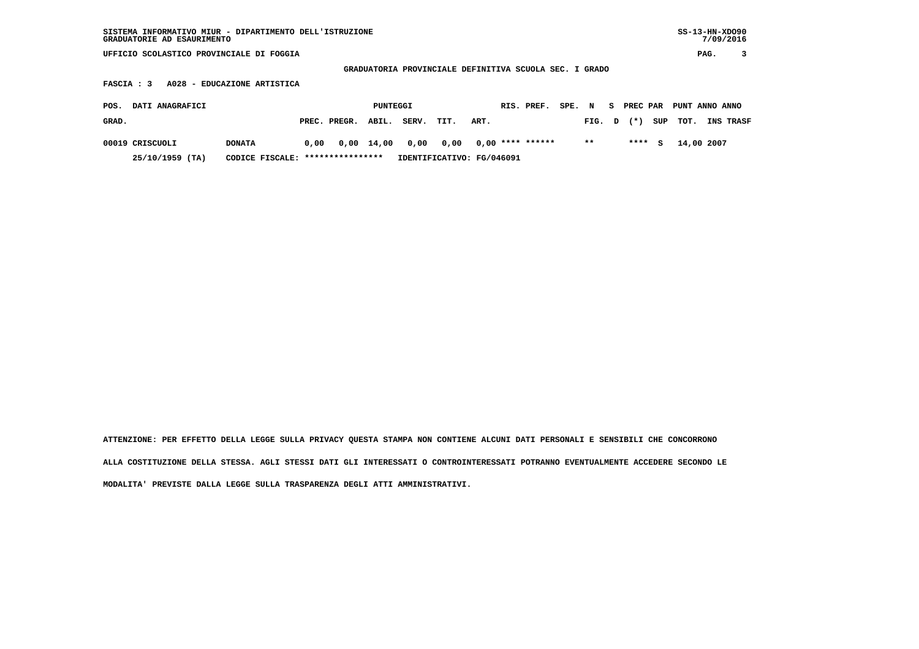| SISTEMA INFORMATIVO MIUR - DIPARTIMENTO DELL'ISTRUZIONE | $SS-13-HN-XDO90$ |
|---------------------------------------------------------|------------------|
| GRADUATORIE AD ESAURIMENTO                              | 7/09/2016        |

 **GRADUATORIA PROVINCIALE DEFINITIVA SCUOLA SEC. I GRADO**

 **FASCIA : 3 A028 - EDUCAZIONE ARTISTICA**

| POS.  | <b>DATI ANAGRAFICI</b> |               |                                  |                    | PUNTEGGI |                           |      |                  | RIS. PREF. | SPE. N |        | S PREC PAR | PUNT ANNO ANNO |                  |
|-------|------------------------|---------------|----------------------------------|--------------------|----------|---------------------------|------|------------------|------------|--------|--------|------------|----------------|------------------|
| GRAD. |                        |               |                                  | PREC. PREGR. ABIL. |          | SERV.                     | TIT. | ART.             |            |        | FIG. D | $(\star)$  | SUP TOT.       | <b>INS TRASF</b> |
|       | 00019 CRISCUOLI        | <b>DONATA</b> | 0.00                             |                    |          | 0,00 14,00 0,00 0,00      |      | 0,00 **** ****** |            |        | $* *$  | $***5$     | 14,00 2007     |                  |
|       | 25/10/1959 (TA)        |               | CODICE FISCALE: **************** |                    |          | IDENTIFICATIVO: FG/046091 |      |                  |            |        |        |            |                |                  |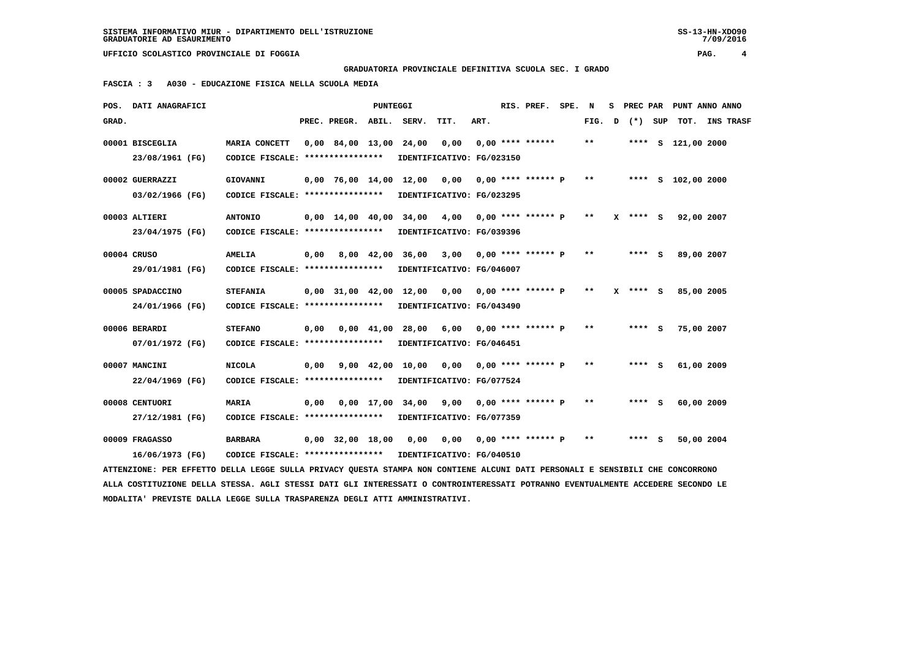**GRADUATORIA PROVINCIALE DEFINITIVA SCUOLA SEC. I GRADO**

 **FASCIA : 3 A030 - EDUCAZIONE FISICA NELLA SCUOLA MEDIA**

| <b>DATI ANAGRAFICI</b><br>POS.                                                                                                |                                                     |      |                                            | <b>PUNTEGGI</b> |                                                     |                                                      |      | RIS. PREF.                | SPE. | N     | s. | PREC PAR   |     |                    | PUNT ANNO ANNO |
|-------------------------------------------------------------------------------------------------------------------------------|-----------------------------------------------------|------|--------------------------------------------|-----------------|-----------------------------------------------------|------------------------------------------------------|------|---------------------------|------|-------|----|------------|-----|--------------------|----------------|
| GRAD.                                                                                                                         |                                                     |      | PREC. PREGR. ABIL. SERV.                   |                 |                                                     | TIT.                                                 | ART. |                           |      | FIG.  | D  | $(* )$     | SUP |                    | TOT. INS TRASF |
| 00001 BISCEGLIA<br>23/08/1961 (FG)                                                                                            | MARIA CONCETT<br>CODICE FISCALE: *****************  |      | 0,00 84,00 13,00 24,00                     |                 |                                                     | 0,00<br>IDENTIFICATIVO: FG/023150                    |      | $0.00$ **** ******        |      | $**$  |    |            |     | **** S 121,00 2000 |                |
| 00002 GUERRAZZI<br>03/02/1966 (FG)                                                                                            | <b>GIOVANNI</b><br>CODICE FISCALE: **************** |      |                                            |                 | $0,00$ 76,00 14,00 12,00 0,00 0,00 **** ****** P ** | IDENTIFICATIVO: FG/023295                            |      |                           |      |       |    |            |     | **** S 102,00 2000 |                |
| 00003 ALTIERI<br>23/04/1975 (FG)                                                                                              | <b>ANTONIO</b><br>CODICE FISCALE: ****************  |      | $0.00 \quad 14.00 \quad 40.00 \quad 34.00$ |                 |                                                     | 4,00<br>IDENTIFICATIVO: FG/039396                    |      | $0,00$ **** ****** P      |      | $***$ |    | $X$ **** S |     | 92,00 2007         |                |
| 00004 CRUSO<br>29/01/1981 (FG)                                                                                                | <b>AMELIA</b><br>CODICE FISCALE: ****************   | 0,00 | 8,00 42,00                                 |                 | 36,00                                               | 3,00 0,00 **** ****** P<br>IDENTIFICATIVO: FG/046007 |      |                           |      | $* *$ |    | $***$ S    |     | 89,00 2007         |                |
| 00005 SPADACCINO<br>24/01/1966 (FG)                                                                                           | <b>STEFANIA</b><br>CODICE FISCALE: **************** |      | $0.00$ 31.00 42.00                         |                 | 12,00                                               | IDENTIFICATIVO: FG/043490                            |      |                           |      | $* *$ |    | $X$ **** S |     | 85,00 2005         |                |
| 00006 BERARDI<br>07/01/1972 (FG)                                                                                              | <b>STEFANO</b><br>CODICE FISCALE: ****************  | 0.00 |                                            |                 | 0,00 41,00 28,00<br>IDENTIFICATIVO: FG/046451       | 6,00 0,00 **** ****** P                              |      |                           |      | $* *$ |    | **** S     |     | 75,00 2007         |                |
| 00007 MANCINI<br>22/04/1969 (FG)                                                                                              | <b>NICOLA</b><br>CODICE FISCALE: ****************   | 0,00 |                                            |                 | 9,00 42,00 10,00                                    | 0,00 0,00 **** ****** P<br>IDENTIFICATIVO: FG/077524 |      |                           |      | $* *$ |    | **** S     |     | 61,00 2009         |                |
| 00008 CENTUORI<br>27/12/1981 (FG)                                                                                             | MARIA<br>CODICE FISCALE: ****************           | 0,00 |                                            |                 | $0,00 \quad 17,00 \quad 34,00$                      | IDENTIFICATIVO: FG/077359                            |      | $9,00$ 0,00 **** ****** P |      | $**$  |    | **** S     |     | 60,00 2009         |                |
| 00009 FRAGASSO<br>16/06/1973 (FG)                                                                                             | <b>BARBARA</b><br>CODICE FISCALE: ****************  |      | $0,00$ 32,00 18,00                         |                 | 0,00                                                | 0,00 0,00 **** ****** P<br>IDENTIFICATIVO: FG/040510 |      |                           |      | $***$ |    | $***$ S    |     | 50,00 2004         |                |
| ATTENZIONE: PER EFFETTO DELLA LEGGE SULLA PRIVACY QUESTA STAMPA NON CONTIENE ALCUNI DATI PERSONALI E SENSIBILI CHE CONCORRONO |                                                     |      |                                            |                 |                                                     |                                                      |      |                           |      |       |    |            |     |                    |                |

 **ALLA COSTITUZIONE DELLA STESSA. AGLI STESSI DATI GLI INTERESSATI O CONTROINTERESSATI POTRANNO EVENTUALMENTE ACCEDERE SECONDO LE MODALITA' PREVISTE DALLA LEGGE SULLA TRASPARENZA DEGLI ATTI AMMINISTRATIVI.**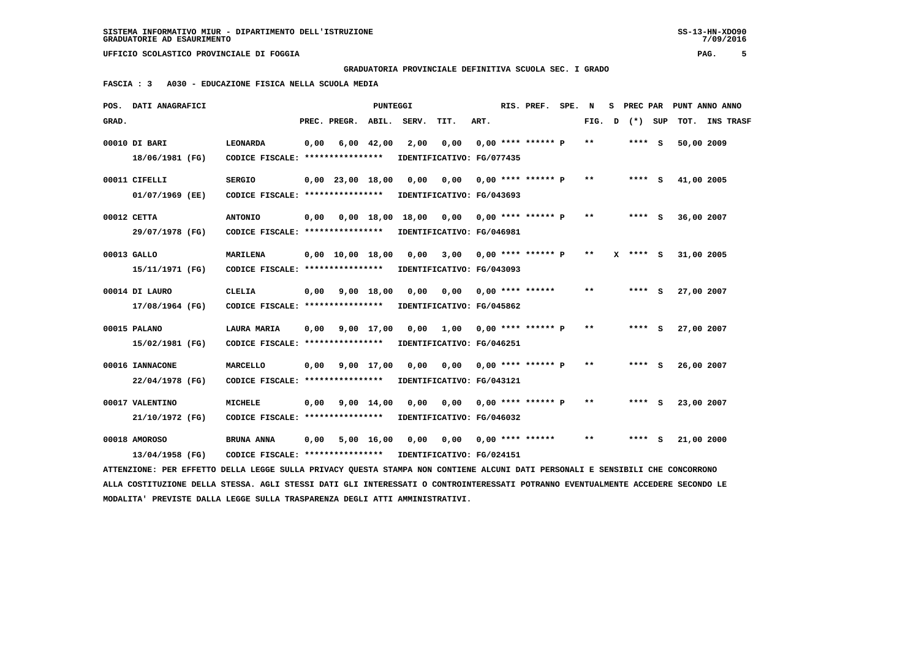## **GRADUATORIA PROVINCIALE DEFINITIVA SCUOLA SEC. I GRADO**

 **FASCIA : 3 A030 - EDUCAZIONE FISICA NELLA SCUOLA MEDIA**

|       | POS. DATI ANAGRAFICI                                                                                                            |                                                            |      |                                | PUNTEGGI       |                   |                                                      |      | RIS. PREF. SPE.    | N      |          | S PREC PAR PUNT ANNO ANNO |  |
|-------|---------------------------------------------------------------------------------------------------------------------------------|------------------------------------------------------------|------|--------------------------------|----------------|-------------------|------------------------------------------------------|------|--------------------|--------|----------|---------------------------|--|
| GRAD. |                                                                                                                                 |                                                            |      | PREC. PREGR. ABIL. SERV.       |                |                   | TIT.                                                 | ART. |                    | FIG. D | (*) SUP  | TOT. INS TRASF            |  |
|       | 00010 DI BARI<br>18/06/1981 (FG)                                                                                                | <b>LEONARDA</b><br>CODICE FISCALE: *****************       | 0,00 |                                | $6,00$ $42,00$ | 2,00              | 0,00<br>IDENTIFICATIVO: FG/077435                    |      | 0,00 **** ****** P | $* *$  | $***$ S  | 50,00 2009                |  |
|       | 00011 CIFELLI                                                                                                                   | <b>SERGIO</b><br>CODICE FISCALE: ****************          |      | $0,00$ 23,00 18,00             |                | 0,00              | 0,00 0,00 **** ****** P<br>IDENTIFICATIVO: FG/043693 |      |                    | $* *$  | $***$ S  | 41,00 2005                |  |
|       | 01/07/1969 (EE)<br>00012 CETTA                                                                                                  | <b>ANTONIO</b>                                             |      |                                |                |                   |                                                      |      |                    | $***$  | $***$ S  | 36,00 2007                |  |
|       | 29/07/1978 (FG)<br>00013 GALLO                                                                                                  | CODICE FISCALE: ****************<br>MARILENA               |      | $0,00 \quad 10,00 \quad 18,00$ |                | 0,00              | IDENTIFICATIVO: FG/046981<br>3,00 0,00 **** ****** P |      |                    | $* *$  | X **** S | 31,00 2005                |  |
|       | 15/11/1971 (FG)<br>00014 DI LAURO                                                                                               | CODICE FISCALE: ****************<br><b>CLELIA</b>          |      | $0,00$ $9,00$ $18,00$          |                | 0,00              | IDENTIFICATIVO: FG/043093<br>0,00 0,00 **** ******   |      |                    | $* *$  | $***5$   | 27,00 2007                |  |
|       | 17/08/1964 (FG)                                                                                                                 | CODICE FISCALE: ****************                           |      |                                |                |                   | IDENTIFICATIVO: FG/045862                            |      |                    |        |          |                           |  |
|       | 00015 PALANO<br>15/02/1981 (FG)                                                                                                 | LAURA MARIA<br>CODICE FISCALE: ****************            | 0,00 |                                | 9,00 17,00     | 0,00              | 1,00 0,00 **** ****** P<br>IDENTIFICATIVO: FG/046251 |      |                    | $* *$  | **** S   | 27,00 2007                |  |
|       | 00016 IANNACONE<br>22/04/1978 (FG)                                                                                              | <b>MARCELLO</b><br>CODICE FISCALE: ****************        | 0,00 |                                | 9,00 17,00     | 0,00              | 0,00 0,00 **** ****** P<br>IDENTIFICATIVO: FG/043121 |      |                    | $* *$  | **** S   | 26,00 2007                |  |
|       | 00017 VALENTINO<br>21/10/1972 (FG)                                                                                              | <b>MICHELE</b><br>CODICE FISCALE: *****************        | 0,00 |                                | 9,00 14,00     | 0.00              | IDENTIFICATIVO: FG/046032                            |      |                    | $* *$  | **** S   | 23,00 2007                |  |
|       | 00018 AMOROSO                                                                                                                   | BRUNA ANNA                                                 | 0,00 |                                |                | $5,00$ 16,00 0,00 |                                                      |      |                    | $***$  | **** S   | 21,00 2000                |  |
|       | 13/04/1958 (FG)                                                                                                                 | CODICE FISCALE: **************** IDENTIFICATIVO: FG/024151 |      |                                |                |                   |                                                      |      |                    |        |          |                           |  |
|       | ATTENZIONE: PER EFFETTO DELLA LEGGE SULLA PRIVACY QUESTA STAMPA NON CONTIENE ALCUNI DATI PERSONALI E SENSIBILI CHE CONCORRONO   |                                                            |      |                                |                |                   |                                                      |      |                    |        |          |                           |  |
|       | ALLA COSTITUZIONE DELLA STESSA. AGLI STESSI DATI GLI INTERESSATI O CONTROINTERESSATI POTRANNO EVENTUALMENTE ACCEDERE SECONDO LE |                                                            |      |                                |                |                   |                                                      |      |                    |        |          |                           |  |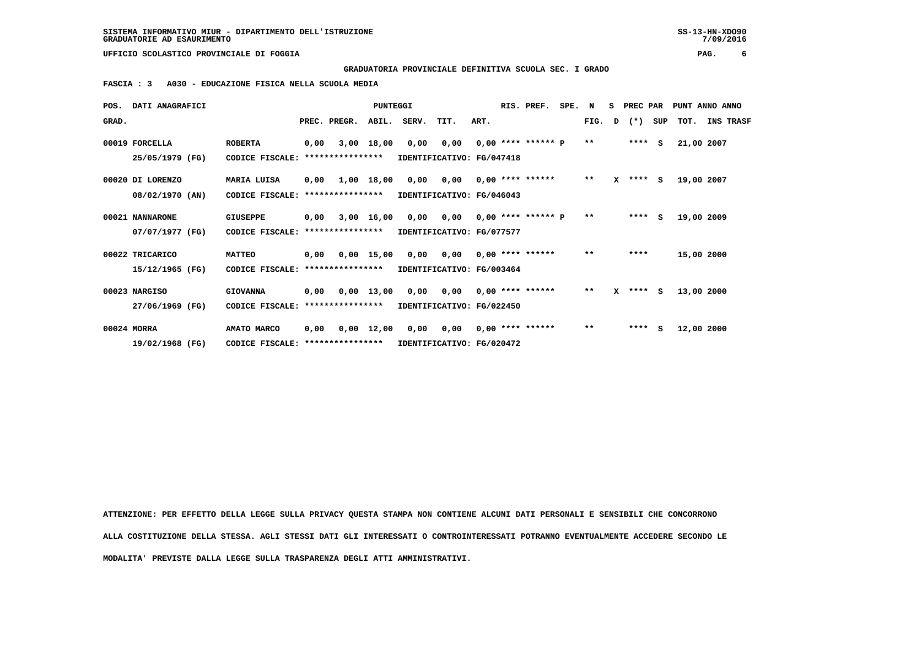**GRADUATORIA PROVINCIALE DEFINITIVA SCUOLA SEC. I GRADO**

 **FASCIA : 3 A030 - EDUCAZIONE FISICA NELLA SCUOLA MEDIA**

| POS.  | <b>DATI ANAGRAFICI</b> |                                  |      |                  | <b>PUNTEGGI</b>    |                           |                            |      | RIS. PREF.           | SPE. N |              | S. | PREC PAR   |     | PUNT ANNO ANNO |           |
|-------|------------------------|----------------------------------|------|------------------|--------------------|---------------------------|----------------------------|------|----------------------|--------|--------------|----|------------|-----|----------------|-----------|
| GRAD. |                        |                                  |      | PREC. PREGR.     | ABIL.              | SERV.                     | TIT.                       | ART. |                      |        | FIG.         | D  | $(\star)$  | SUP | TOT.           | INS TRASF |
|       | 00019 FORCELLA         | <b>ROBERTA</b>                   | 0,00 |                  | $3,00$ 18,00       | 0,00                      | 0,00                       |      | $0,00$ **** ****** P |        | $* *$        |    | $***$ S    |     | 21,00 2007     |           |
|       | 25/05/1979 (FG)        | CODICE FISCALE:                  |      | **************** |                    | IDENTIFICATIVO: FG/047418 |                            |      |                      |        |              |    |            |     |                |           |
|       | 00020 DI LORENZO       | MARIA LUISA                      | 0,00 |                  | 1,00 18,00         |                           | 0,00 0,00                  |      | $0.00$ **** ******   |        | $**$         |    | $X$ **** S |     | 19,00 2007     |           |
|       | 08/02/1970 (AN)        | CODICE FISCALE:                  |      | **************** |                    |                           | IDENTIFICATIVO: FG/046043  |      |                      |        |              |    |            |     |                |           |
|       | 00021 NANNARONE        | GIUSEPPE                         | 0,00 |                  | $3,00$ 16,00       |                           | 0,00 0,00                  |      | $0.00$ **** ****** P |        | $* *$        |    | $***$ S    |     | 19,00 2009     |           |
|       | 07/07/1977 (FG)        | CODICE FISCALE: **************** |      |                  |                    | IDENTIFICATIVO: FG/077577 |                            |      |                      |        |              |    |            |     |                |           |
|       | 00022 TRICARICO        | <b>MATTEO</b>                    | 0,00 |                  | $0,00$ 15,00       | 0,00                      | 0,00                       |      | $0.00$ **** ******   |        | $***$        |    | ****       |     | 15,00 2000     |           |
|       | 15/12/1965 (FG)        | CODICE FISCALE: **************** |      |                  |                    |                           | IDENTIFICATIVO: FG/003464  |      |                      |        |              |    |            |     |                |           |
|       | 00023 NARGISO          | <b>GIOVANNA</b>                  | 0,00 |                  | $0.00$ 13.00       |                           | 0,00 0,00 0,00 **** ****** |      |                      |        | $* *$        |    | $X$ **** S |     | 13,00 2000     |           |
|       | 27/06/1969 (FG)        | CODICE FISCALE:                  |      | **************** |                    |                           | IDENTIFICATIVO: FG/022450  |      |                      |        |              |    |            |     |                |           |
|       | 00024 MORRA            | AMATO MARCO                      | 0.00 |                  | $0,00 \quad 12,00$ | 0,00                      | 0,00                       |      | $0.00$ **** ******   |        | $\star\star$ |    | $***$ S    |     | 12,00 2000     |           |
|       | 19/02/1968 (FG)        | CODICE FISCALE: **************** |      |                  |                    |                           | IDENTIFICATIVO: FG/020472  |      |                      |        |              |    |            |     |                |           |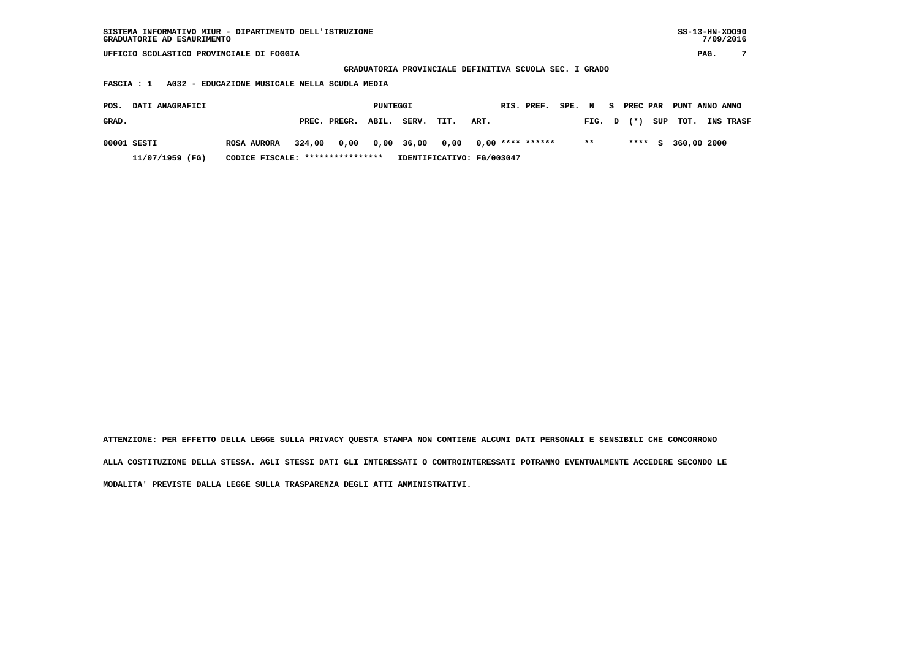**GRADUATORIA PROVINCIALE DEFINITIVA SCUOLA SEC. I GRADO**

 **FASCIA : 1 A032 - EDUCAZIONE MUSICALE NELLA SCUOLA MEDIA**

| POS.<br><b>DATI ANAGRAFICI</b> |                                  |        |                    | PUNTEGGI |       |                                       |      | RIS. PREF. SPE. N S PREC PAR PUNT ANNO ANNO |        |  |                      |                  |
|--------------------------------|----------------------------------|--------|--------------------|----------|-------|---------------------------------------|------|---------------------------------------------|--------|--|----------------------|------------------|
| GRAD.                          |                                  |        | PREC. PREGR. ABIL. |          | SERV. | TIT.                                  | ART. |                                             | FIG. D |  | $(*)$ SUP TOT.       | <b>INS TRASF</b> |
| 00001 SESTI                    | <b>ROSA AURORA</b>               | 324,00 |                    |          |       | 0,00 0,00 36,00 0,00 0,00 **** ****** |      |                                             | $* *$  |  | **** $S$ 360,00 2000 |                  |
| 11/07/1959 (FG)                | CODICE FISCALE: **************** |        |                    |          |       | IDENTIFICATIVO: FG/003047             |      |                                             |        |  |                      |                  |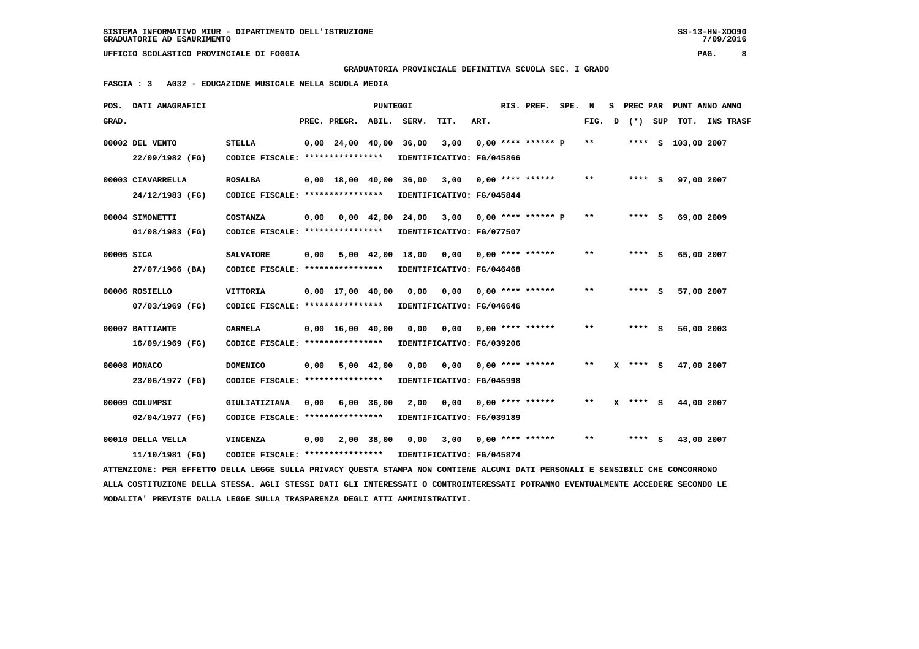**GRADUATORIA PROVINCIALE DEFINITIVA SCUOLA SEC. I GRADO**

 **FASCIA : 3 A032 - EDUCAZIONE MUSICALE NELLA SCUOLA MEDIA**

|            | POS. DATI ANAGRAFICI                                                                                                            |                                                   |      |                                            | PUNTEGGI     |                  |                                   |      | RIS. PREF. SPE.           | N     | s. |              | PREC PAR PUNT ANNO ANNO |  |
|------------|---------------------------------------------------------------------------------------------------------------------------------|---------------------------------------------------|------|--------------------------------------------|--------------|------------------|-----------------------------------|------|---------------------------|-------|----|--------------|-------------------------|--|
| GRAD.      |                                                                                                                                 |                                                   |      | PREC. PREGR.                               |              | ABIL. SERV.      | TIT.                              | ART. |                           | FIG.  | D  | (*) SUP      | TOT. INS TRASF          |  |
|            | 00002 DEL VENTO<br>22/09/1982 (FG)                                                                                              | <b>STELLA</b><br>CODICE FISCALE: **************** |      | $0,00$ $24,00$ $40,00$ $36,00$             |              |                  | 3,00<br>IDENTIFICATIVO: FG/045866 |      | 0,00 **** ****** P        | $***$ |    |              | **** S 103,00 2007      |  |
|            |                                                                                                                                 |                                                   |      |                                            |              |                  |                                   |      |                           |       |    |              |                         |  |
|            | 00003 CIAVARRELLA                                                                                                               | <b>ROSALBA</b>                                    |      | $0.00 \quad 18.00 \quad 40.00 \quad 36.00$ |              |                  | 3,00 0,00 **** ******             |      |                           | $* *$ |    | **** $S$     | 97,00 2007              |  |
|            | 24/12/1983 (FG)                                                                                                                 | CODICE FISCALE: *****************                 |      |                                            |              |                  | IDENTIFICATIVO: FG/045844         |      |                           |       |    |              |                         |  |
|            | 00004 SIMONETTI                                                                                                                 | <b>COSTANZA</b>                                   | 0,00 |                                            |              | 0,00 42,00 24,00 | 3,00 0,00 **** ****** P           |      |                           | $* *$ |    | **** S       | 69,00 2009              |  |
|            | 01/08/1983 (FG)                                                                                                                 | CODICE FISCALE: ****************                  |      |                                            |              |                  | IDENTIFICATIVO: FG/077507         |      |                           |       |    |              |                         |  |
| 00005 SICA |                                                                                                                                 | <b>SALVATORE</b>                                  | 0,00 |                                            | 5,00 42,00   | 18,00            | 0,00 0,00 **** ******             |      |                           | $* *$ |    | **** S       | 65,00 2007              |  |
|            | 27/07/1966 (BA)                                                                                                                 | CODICE FISCALE: *****************                 |      |                                            |              |                  | IDENTIFICATIVO: FG/046468         |      |                           |       |    |              |                         |  |
|            |                                                                                                                                 |                                                   |      |                                            |              |                  |                                   |      |                           |       |    |              |                         |  |
|            | 00006 ROSIELLO                                                                                                                  | <b>VITTORIA</b>                                   |      | $0,00 \quad 17,00 \quad 40,00$             |              | 0,00             | $0,00$ $0,00$ $***$ **** ******   |      |                           | $* *$ |    | $***$ S      | 57,00 2007              |  |
|            | 07/03/1969 (FG)                                                                                                                 | CODICE FISCALE: *****************                 |      |                                            |              |                  | IDENTIFICATIVO: FG/046646         |      |                           |       |    |              |                         |  |
|            | 00007 BATTIANTE                                                                                                                 | <b>CARMELA</b>                                    |      | $0,00 \quad 16,00 \quad 40,00$             |              | 0,00             | 0,00 0,00 **** ******             |      |                           | **    |    | **** S       | 56,00 2003              |  |
|            | 16/09/1969 (FG)                                                                                                                 | CODICE FISCALE: ****************                  |      |                                            |              |                  | IDENTIFICATIVO: FG/039206         |      |                           |       |    |              |                         |  |
|            | 00008 MONACO                                                                                                                    | <b>DOMENICO</b>                                   | 0,00 |                                            | $5,00$ 42,00 | 0.00             |                                   |      | $0,00$ $0,00$ **** ****** | $* *$ |    | $X$ **** S   | 47,00 2007              |  |
|            | 23/06/1977 (FG)                                                                                                                 | CODICE FISCALE: ****************                  |      |                                            |              |                  | IDENTIFICATIVO: FG/045998         |      |                           |       |    |              |                         |  |
|            | 00009 COLUMPSI                                                                                                                  | GIULIATIZIANA                                     | 0.00 |                                            |              | 2,00             |                                   |      | $0.00$ $0.00$ **** ****** | $* *$ |    | $X$ **** $S$ | 44,00 2007              |  |
|            |                                                                                                                                 |                                                   |      |                                            | 6,00 36,00   |                  |                                   |      |                           |       |    |              |                         |  |
|            | 02/04/1977 (FG)                                                                                                                 | CODICE FISCALE: ****************                  |      |                                            |              |                  | IDENTIFICATIVO: FG/039189         |      |                           |       |    |              |                         |  |
|            | 00010 DELLA VELLA                                                                                                               | <b>VINCENZA</b>                                   | 0,00 |                                            | 2,00 38,00   | 0,00             | 3,00                              |      | $0,00$ **** ******        | $* *$ |    | **** S       | 43,00 2007              |  |
|            | 11/10/1981 (FG)                                                                                                                 | CODICE FISCALE: ****************                  |      |                                            |              |                  | IDENTIFICATIVO: FG/045874         |      |                           |       |    |              |                         |  |
|            | ATTENZIONE: PER EFFETTO DELLA LEGGE SULLA PRIVACY QUESTA STAMPA NON CONTIENE ALCUNI DATI PERSONALI E SENSIBILI CHE CONCORRONO   |                                                   |      |                                            |              |                  |                                   |      |                           |       |    |              |                         |  |
|            | ALLA COSTITUZIONE DELLA STESSA. AGLI STESSI DATI GLI INTERESSATI O CONTROINTERESSATI POTRANNO EVENTUALMENTE ACCEDERE SECONDO LE |                                                   |      |                                            |              |                  |                                   |      |                           |       |    |              |                         |  |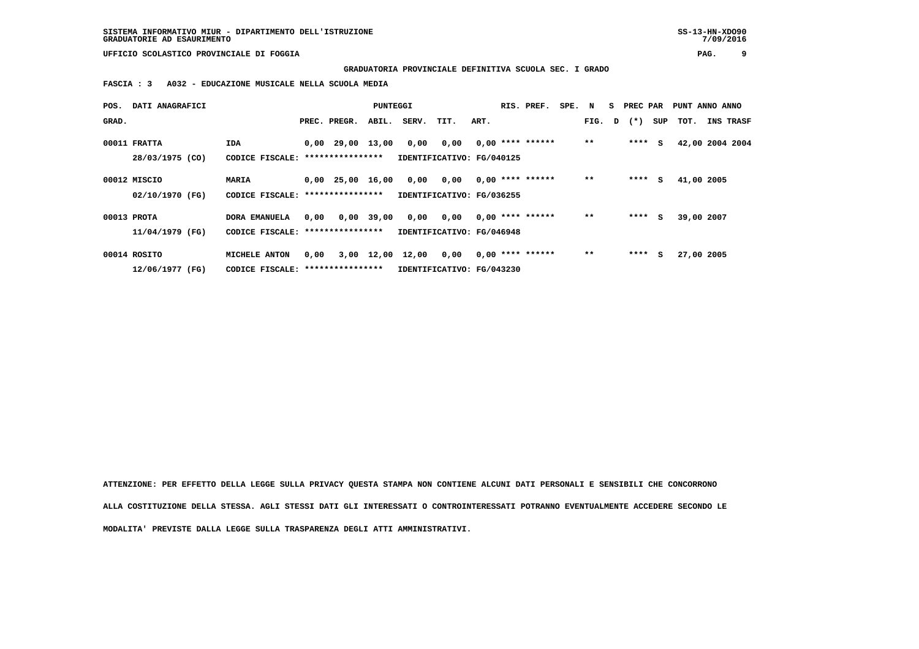**GRADUATORIA PROVINCIALE DEFINITIVA SCUOLA SEC. I GRADO**

 **FASCIA : 3 A032 - EDUCAZIONE MUSICALE NELLA SCUOLA MEDIA**

| POS.  | DATI ANAGRAFICI |                                   |      |                    | PUNTEGGI   |                           |                           |      | RIS. PREF.         | SPE. N |       | s | PREC PAR       |     | PUNT ANNO ANNO  |                  |
|-------|-----------------|-----------------------------------|------|--------------------|------------|---------------------------|---------------------------|------|--------------------|--------|-------|---|----------------|-----|-----------------|------------------|
| GRAD. |                 |                                   |      | PREC. PREGR.       | ABIL.      | SERV.                     | TIT.                      | ART. |                    |        |       |   | FIG. $D$ $(*)$ | SUP | тот.            | <b>INS TRASF</b> |
|       | 00011 FRATTA    | IDA                               |      | $0,00$ 29,00 13,00 |            | 0,00                      | 0,00                      |      | $0,00$ **** ****** |        | $* *$ |   | $***$ S        |     | 42,00 2004 2004 |                  |
|       | 28/03/1975 (CO) | CODICE FISCALE: ***************** |      |                    |            | IDENTIFICATIVO: FG/040125 |                           |      |                    |        |       |   |                |     |                 |                  |
|       | 00012 MISCIO    | MARIA                             |      | $0,00$ 25,00 16,00 |            | 0,00                      | 0,00                      |      | $0,00$ **** ****** |        | $**$  |   | ****           | s   | 41,00 2005      |                  |
|       | 02/10/1970 (FG) | CODICE FISCALE: ***************** |      |                    |            | IDENTIFICATIVO: FG/036255 |                           |      |                    |        |       |   |                |     |                 |                  |
|       | 00013 PROTA     | <b>DORA EMANUELA</b>              | 0,00 |                    | 0,00 39,00 | 0,00                      | 0,00                      |      | $0.00$ **** ****** |        | $**$  |   | $***$ S        |     | 39,00 2007      |                  |
|       | 11/04/1979 (FG) | CODICE FISCALE: ****************  |      |                    |            | IDENTIFICATIVO: FG/046948 |                           |      |                    |        |       |   |                |     |                 |                  |
|       | 00014 ROSITO    | MICHELE ANTON                     | 0,00 |                    | 3,00 12,00 | 12,00                     | 0,00                      |      | $0,00$ **** ****** |        | $**$  |   | ****           | s   | 27,00 2005      |                  |
|       | 12/06/1977 (FG) | CODICE FISCALE: ***************** |      |                    |            |                           | IDENTIFICATIVO: FG/043230 |      |                    |        |       |   |                |     |                 |                  |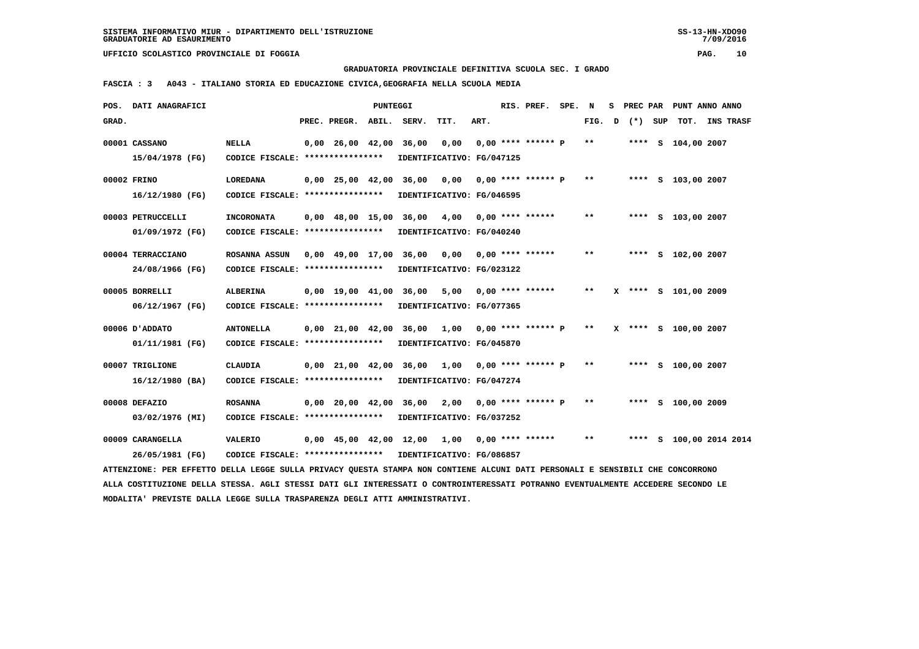**GRADUATORIA PROVINCIALE DEFINITIVA SCUOLA SEC. I GRADO**

 **FASCIA : 3 A043 - ITALIANO STORIA ED EDUCAZIONE CIVICA,GEOGRAFIA NELLA SCUOLA MEDIA**

|       | POS. DATI ANAGRAFICI                                                                                                            |                                                            |                                | PUNTEGGI |                                                |                           |      | RIS. PREF. SPE.      | N            | s | PREC PAR |                      | PUNT ANNO ANNO          |  |
|-------|---------------------------------------------------------------------------------------------------------------------------------|------------------------------------------------------------|--------------------------------|----------|------------------------------------------------|---------------------------|------|----------------------|--------------|---|----------|----------------------|-------------------------|--|
| GRAD. |                                                                                                                                 |                                                            | PREC. PREGR.                   |          | ABIL. SERV.                                    | TIT.                      | ART. |                      | FIG.         | D | (*) SUP  |                      | TOT. INS TRASF          |  |
|       | 00001 CASSANO                                                                                                                   | <b>NELLA</b>                                               | $0.00 \quad 26.00 \quad 42.00$ |          | 36,00                                          | 0.00                      |      | $0.00$ **** ****** P | **           |   |          | **** S 104,00 2007   |                         |  |
|       | 15/04/1978 (FG)                                                                                                                 | CODICE FISCALE: ****************                           |                                |          |                                                | IDENTIFICATIVO: FG/047125 |      |                      |              |   |          |                      |                         |  |
|       | 00002 FRINO                                                                                                                     | <b>LOREDANA</b>                                            | 0,00 25,00 42,00 36,00         |          |                                                | 0,00                      |      | $0.00$ **** ****** P | $\star\star$ |   |          | **** S 103,00 2007   |                         |  |
|       | 16/12/1980 (FG)                                                                                                                 | CODICE FISCALE: ****************                           |                                |          |                                                | IDENTIFICATIVO: FG/046595 |      |                      |              |   |          |                      |                         |  |
|       | 00003 PETRUCCELLI                                                                                                               | <b>INCORONATA</b>                                          | $0.00 \quad 48.00 \quad 15.00$ |          | 36,00                                          | 4,00                      |      | $0.00$ **** ******   | $* *$        |   |          | **** S 103,00 2007   |                         |  |
|       | 01/09/1972 (FG)                                                                                                                 | CODICE FISCALE: ****************                           |                                |          |                                                | IDENTIFICATIVO: FG/040240 |      |                      |              |   |          |                      |                         |  |
|       | 00004 TERRACCIANO                                                                                                               | ROSANNA ASSUN                                              |                                |          | 0,00 49,00 17,00 36,00                         | 0,00 0,00 **** ******     |      |                      | $* *$        |   |          | **** S 102,00 2007   |                         |  |
|       | 24/08/1966 (FG)                                                                                                                 | CODICE FISCALE: *****************                          |                                |          |                                                | IDENTIFICATIVO: FG/023122 |      |                      |              |   |          |                      |                         |  |
|       | 00005 BORRELLI                                                                                                                  | <b>ALBERINA</b>                                            | $0.00 \quad 19.00 \quad 41.00$ |          | 36,00                                          | 5,00                      |      | $0.00$ **** ******   | $* *$        |   |          | X **** S 101,00 2009 |                         |  |
|       | 06/12/1967 (FG)                                                                                                                 | CODICE FISCALE: ****************                           |                                |          |                                                | IDENTIFICATIVO: FG/077365 |      |                      |              |   |          |                      |                         |  |
|       | 00006 U ADDATO                                                                                                                  | <b>ANTONELLA</b>                                           | 0,00 21,00 42,00 36,00         |          |                                                | 1,00 0,00 **** ****** P   |      |                      | $***$        |   |          | X **** S 100,00 2007 |                         |  |
|       | 01/11/1981 (FG)                                                                                                                 | CODICE FISCALE: ****************                           |                                |          |                                                | IDENTIFICATIVO: FG/045870 |      |                      |              |   |          |                      |                         |  |
|       | 00007 TRIGLIONE                                                                                                                 | <b>CLAUDIA</b>                                             | $0,00$ $21,00$ $42,00$ $36,00$ |          |                                                | 1,00                      |      | $0,00$ **** ****** P | $* *$        |   |          | **** S 100,00 2007   |                         |  |
|       | $16/12/1980$ (BA)                                                                                                               | CODICE FISCALE: ****************                           |                                |          |                                                | IDENTIFICATIVO: FG/047274 |      |                      |              |   |          |                      |                         |  |
|       | 00008 DEFAZIO                                                                                                                   | <b>ROSANNA</b>                                             | 0,00 20,00 42,00 36,00         |          |                                                | 2,00                      |      | $0.00$ **** ****** P | $***$        |   |          | **** S 100,00 2009   |                         |  |
|       | 03/02/1976 (MI)                                                                                                                 | CODICE FISCALE: ****************                           |                                |          |                                                | IDENTIFICATIVO: FG/037252 |      |                      |              |   |          |                      |                         |  |
|       | 00009 CARANGELLA                                                                                                                | <b>VALERIO</b>                                             |                                |          | $0,00$ 45,00 42,00 12,00 1,00 0,00 **** ****** |                           |      |                      | $***$        |   |          |                      | **** S 100,00 2014 2014 |  |
|       | 26/05/1981 (FG)                                                                                                                 | CODICE FISCALE: **************** IDENTIFICATIVO: FG/086857 |                                |          |                                                |                           |      |                      |              |   |          |                      |                         |  |
|       | ATTENZIONE: PER EFFETTO DELLA LEGGE SULLA PRIVACY QUESTA STAMPA NON CONTIENE ALCUNI DATI PERSONALI E SENSIBILI CHE CONCORRONO   |                                                            |                                |          |                                                |                           |      |                      |              |   |          |                      |                         |  |
|       | ALLA COSTITUZIONE DELLA STESSA. AGLI STESSI DATI GLI INTERESSATI O CONTROINTERESSATI POTRANNO EVENTUALMENTE ACCEDERE SECONDO LE |                                                            |                                |          |                                                |                           |      |                      |              |   |          |                      |                         |  |
|       | MODALITA' PREVISTE DALLA LEGGE SULLA TRASPARENZA DEGLI ATTI AMMINISTRATIVI.                                                     |                                                            |                                |          |                                                |                           |      |                      |              |   |          |                      |                         |  |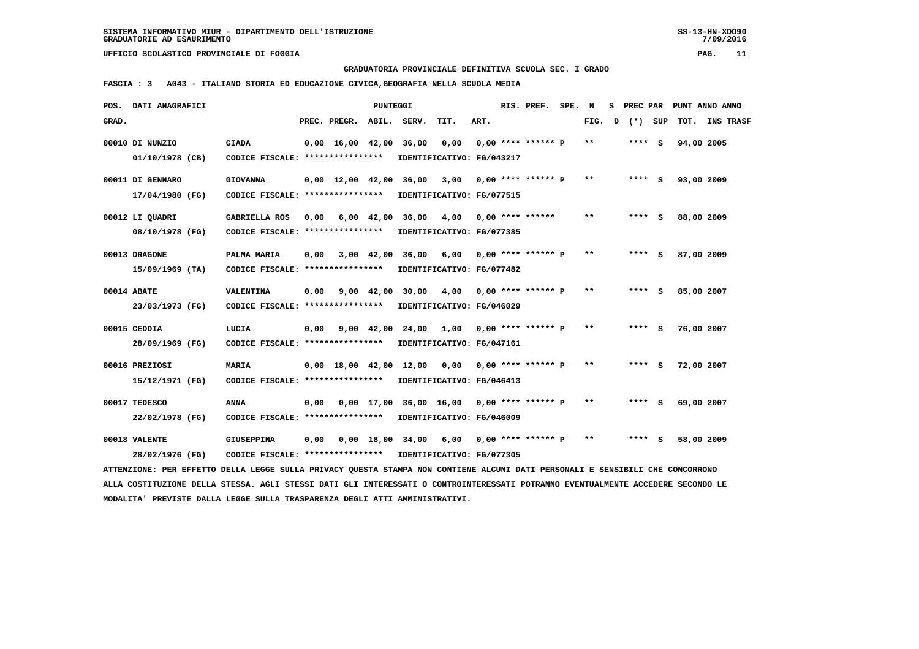**GRADUATORIA PROVINCIALE DEFINITIVA SCUOLA SEC. I GRADO**

 **FASCIA : 3 A043 - ITALIANO STORIA ED EDUCAZIONE CIVICA,GEOGRAFIA NELLA SCUOLA MEDIA**

|       | POS. DATI ANAGRAFICI                                                                                                            |                                                            |      |                          | PUNTEGGI   |                               |                                                           |      | RIS. PREF. SPE.      | N     | s | PREC PAR |            | PUNT ANNO ANNO |
|-------|---------------------------------------------------------------------------------------------------------------------------------|------------------------------------------------------------|------|--------------------------|------------|-------------------------------|-----------------------------------------------------------|------|----------------------|-------|---|----------|------------|----------------|
| GRAD. |                                                                                                                                 |                                                            |      | PREC. PREGR. ABIL. SERV. |            |                               | TIT.                                                      | ART. |                      | FIG.  | D | (*) SUP  |            | TOT. INS TRASF |
|       | 00010 DI NUNZIO                                                                                                                 | <b>GIADA</b>                                               |      |                          |            |                               | 0,00 16,00 42,00 36,00 0,00                               |      | $0.00$ **** ****** P | **    |   | $***$ S  | 94,00 2005 |                |
|       | 01/10/1978 (CB)                                                                                                                 | CODICE FISCALE: ****************                           |      |                          |            |                               | IDENTIFICATIVO: FG/043217                                 |      |                      |       |   |          |            |                |
|       | 00011 DI GENNARO                                                                                                                | <b>GIOVANNA</b>                                            |      |                          |            | $0,00$ 12,00 42,00 36,00 3,00 |                                                           |      | $0,00$ **** ****** P | $* *$ |   | **** S   | 93,00 2009 |                |
|       | 17/04/1980 (FG)                                                                                                                 | CODICE FISCALE: *****************                          |      |                          |            |                               | IDENTIFICATIVO: FG/077515                                 |      |                      |       |   |          |            |                |
|       | 00012 LI QUADRI                                                                                                                 | <b>GABRIELLA ROS</b>                                       |      |                          |            |                               | $0,00$ 6,00 42,00 36,00 4,00 0,00 **** ******             |      |                      | $* *$ |   | **** S   | 88,00 2009 |                |
|       | 08/10/1978 (FG)                                                                                                                 | CODICE FISCALE: *****************                          |      |                          |            |                               | IDENTIFICATIVO: FG/077385                                 |      |                      |       |   |          |            |                |
|       | 00013 DRAGONE                                                                                                                   | PALMA MARIA                                                | 0,00 |                          |            |                               | 3,00 42,00 36,00 6,00 0,00 **** ****** P                  |      |                      | $* *$ |   | $***$ S  | 87,00 2009 |                |
|       | $15/09/1969$ (TA)                                                                                                               | CODICE FISCALE: ****************                           |      |                          |            |                               | IDENTIFICATIVO: FG/077482                                 |      |                      |       |   |          |            |                |
|       | 00014 ABATE                                                                                                                     | VALENTINA                                                  | 0,00 |                          |            |                               | 9,00 $42,00$ 30,00 $4,00$ 0,00 **** ****** P              |      |                      | $* *$ |   | $***$ S  | 85,00 2007 |                |
|       | 23/03/1973 (FG)                                                                                                                 | CODICE FISCALE: *****************                          |      |                          |            |                               | IDENTIFICATIVO: FG/046029                                 |      |                      |       |   |          |            |                |
|       | 00015 CEDDIA                                                                                                                    | LUCIA                                                      | 0,00 |                          | 9,00 42,00 |                               | 24,00 1,00 0,00 **** ****** P                             |      |                      | $* *$ |   | $***$ S  | 76,00 2007 |                |
|       | 28/09/1969 (FG)                                                                                                                 | CODICE FISCALE: *****************                          |      |                          |            |                               | IDENTIFICATIVO: FG/047161                                 |      |                      |       |   |          |            |                |
|       | 00016 PREZIOSI                                                                                                                  | <b>MARIA</b>                                               |      |                          |            |                               | $0,00$ 18,00 42,00 12,00 0,00 0,00 **** ****** P          |      |                      | $* *$ |   | $***$ S  | 72,00 2007 |                |
|       | 15/12/1971 (FG)                                                                                                                 | CODICE FISCALE: *****************                          |      |                          |            |                               | IDENTIFICATIVO: FG/046413                                 |      |                      |       |   |          |            |                |
|       | 00017 TEDESCO                                                                                                                   | <b>ANNA</b>                                                | 0,00 |                          |            |                               | $0.00$ 17.00 36.00 16.00 0.00 **** ****** P               |      |                      | $* *$ |   | **** S   | 69,00 2007 |                |
|       | 22/02/1978 (FG)                                                                                                                 | CODICE FISCALE: *****************                          |      |                          |            |                               | IDENTIFICATIVO: FG/046009                                 |      |                      |       |   |          |            |                |
|       | 00018 VALENTE                                                                                                                   | <b>GIUSEPPINA</b>                                          |      |                          |            |                               | $0,00$ $0,00$ $18,00$ $34,00$ $6,00$ $0,00$ **** ****** P |      |                      | $* *$ |   | **** S   | 58,00 2009 |                |
|       | 28/02/1976 (FG)                                                                                                                 | CODICE FISCALE: **************** IDENTIFICATIVO: FG/077305 |      |                          |            |                               |                                                           |      |                      |       |   |          |            |                |
|       | ATTENZIONE: PER EFFETTO DELLA LEGGE SULLA PRIVACY QUESTA STAMPA NON CONTIENE ALCUNI DATI PERSONALI E SENSIBILI CHE CONCORRONO   |                                                            |      |                          |            |                               |                                                           |      |                      |       |   |          |            |                |
|       | ALLA COSTITUZIONE DELLA STESSA. AGLI STESSI DATI GLI INTERESSATI O CONTROINTERESSATI POTRANNO EVENTUALMENTE ACCEDERE SECONDO LE |                                                            |      |                          |            |                               |                                                           |      |                      |       |   |          |            |                |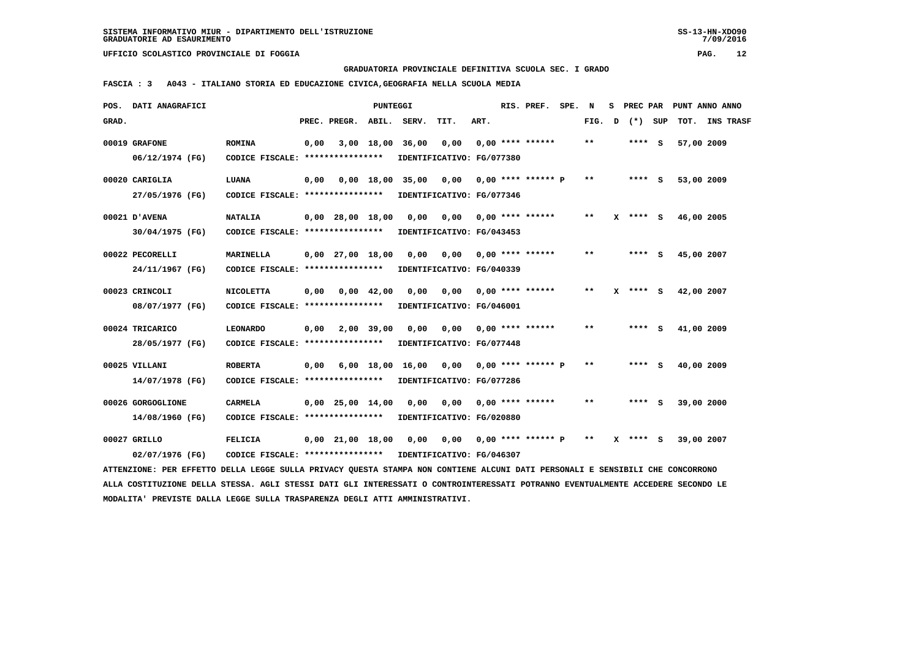**GRADUATORIA PROVINCIALE DEFINITIVA SCUOLA SEC. I GRADO**

 **FASCIA : 3 A043 - ITALIANO STORIA ED EDUCAZIONE CIVICA,GEOGRAFIA NELLA SCUOLA MEDIA**

| POS.  | DATI ANAGRAFICI                                                                                                               |                                   |      |                        | <b>PUNTEGGI</b> |       |                           |      | RIS. PREF.                | SPE. | N     | s | PREC PAR     |            | PUNT ANNO ANNO   |
|-------|-------------------------------------------------------------------------------------------------------------------------------|-----------------------------------|------|------------------------|-----------------|-------|---------------------------|------|---------------------------|------|-------|---|--------------|------------|------------------|
| GRAD. |                                                                                                                               |                                   |      | PREC. PREGR.           | ABIL.           | SERV. | TIT.                      | ART. |                           |      | FIG.  | D | (*) SUP      | TOT.       | <b>INS TRASF</b> |
|       | 00019 GRAFONE                                                                                                                 | <b>ROMINA</b>                     | 0,00 |                        | 3,00 18,00      | 36,00 | 0,00                      |      | $0.00$ **** ******        |      | $* *$ |   | **** S       | 57,00 2009 |                  |
|       | 06/12/1974 (FG)                                                                                                               | CODICE FISCALE: ****************  |      |                        |                 |       | IDENTIFICATIVO: FG/077380 |      |                           |      |       |   |              |            |                  |
|       | 00020 CARIGLIA                                                                                                                | LUANA                             | 0,00 |                        | 0.00 18.00      | 35,00 | 0,00                      |      | $0.00$ **** ****** P      |      | $* *$ |   | $***$ S      | 53,00 2009 |                  |
|       | 27/05/1976 (FG)                                                                                                               | CODICE FISCALE: ****************  |      |                        |                 |       | IDENTIFICATIVO: FG/077346 |      |                           |      |       |   |              |            |                  |
|       | 00021 D'AVENA                                                                                                                 | <b>NATALIA</b>                    |      | $0,00$ 28,00 18,00     |                 | 0,00  | 0,00                      |      | $0.00*********$           |      | $***$ |   | $X$ **** S   | 46,00 2005 |                  |
|       | 30/04/1975 (FG)                                                                                                               | CODICE FISCALE: ***************** |      |                        |                 |       | IDENTIFICATIVO: FG/043453 |      |                           |      |       |   |              |            |                  |
|       | 00022 PECORELLI                                                                                                               | <b>MARINELLA</b>                  |      | $0,00$ 27,00 18,00     |                 | 0,00  | 0,00                      |      | $0.00$ **** ******        |      | $* *$ |   | **** S       | 45,00 2007 |                  |
|       | 24/11/1967 (FG)                                                                                                               | CODICE FISCALE: ***************** |      |                        |                 |       | IDENTIFICATIVO: FG/040339 |      |                           |      |       |   |              |            |                  |
|       | 00023 CRINCOLI                                                                                                                | <b>NICOLETTA</b>                  | 0,00 |                        | $0,00$ 42,00    | 0,00  | 0,00                      |      | $0,00$ **** ******        |      | **    | x | $***$ S      | 42,00 2007 |                  |
|       | 08/07/1977 (FG)                                                                                                               | CODICE FISCALE: ****************  |      |                        |                 |       | IDENTIFICATIVO: FG/046001 |      |                           |      |       |   |              |            |                  |
|       | 00024 TRICARICO                                                                                                               | <b>LEONARDO</b>                   | 0,00 |                        | 2,00 39,00      | 0,00  |                           |      | $0,00$ $0,00$ **** ****** |      | $* *$ |   | $***$ S      | 41,00 2009 |                  |
|       | 28/05/1977 (FG)                                                                                                               | CODICE FISCALE: ****************  |      |                        |                 |       | IDENTIFICATIVO: FG/077448 |      |                           |      |       |   |              |            |                  |
|       | 00025 VILLANI                                                                                                                 | <b>ROBERTA</b>                    | 0,00 |                        | $6,00$ 18,00    |       | 16,00 0,00                |      | $0.00$ **** ****** P      |      | $***$ |   | **** S       | 40,00 2009 |                  |
|       | 14/07/1978 (FG)                                                                                                               | CODICE FISCALE: ****************  |      |                        |                 |       | IDENTIFICATIVO: FG/077286 |      |                           |      |       |   |              |            |                  |
|       | 00026 GORGOGLIONE                                                                                                             | <b>CARMELA</b>                    |      | $0,00$ 25,00 14,00     |                 | 0,00  | 0,00                      |      | $0,00$ **** ******        |      | **    |   | **** S       | 39,00 2000 |                  |
|       | 14/08/1960 (FG)                                                                                                               | CODICE FISCALE: ****************  |      |                        |                 |       | IDENTIFICATIVO: FG/020880 |      |                           |      |       |   |              |            |                  |
|       | 00027 GRILLO                                                                                                                  | FELICIA                           |      | $0,00$ $21,00$ $18,00$ |                 | 0,00  | 0,00 0,00 **** ****** P   |      |                           |      | $***$ |   | $X$ **** $S$ | 39,00 2007 |                  |
|       | 02/07/1976 (FG)                                                                                                               | CODICE FISCALE: ***************** |      |                        |                 |       | IDENTIFICATIVO: FG/046307 |      |                           |      |       |   |              |            |                  |
|       | ATTENZIONE: PER EFFETTO DELLA LEGGE SULLA PRIVACY QUESTA STAMPA NON CONTIENE ALCUNI DATI PERSONALI E SENSIBILI CHE CONCORRONO |                                   |      |                        |                 |       |                           |      |                           |      |       |   |              |            |                  |

 **ALLA COSTITUZIONE DELLA STESSA. AGLI STESSI DATI GLI INTERESSATI O CONTROINTERESSATI POTRANNO EVENTUALMENTE ACCEDERE SECONDO LE MODALITA' PREVISTE DALLA LEGGE SULLA TRASPARENZA DEGLI ATTI AMMINISTRATIVI.**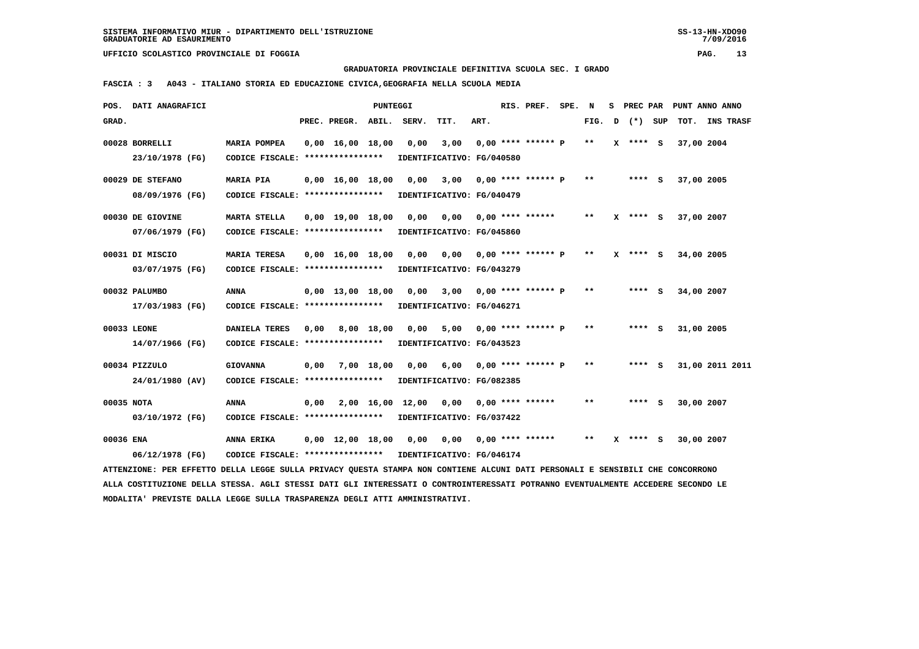**GRADUATORIA PROVINCIALE DEFINITIVA SCUOLA SEC. I GRADO**

 **FASCIA : 3 A043 - ITALIANO STORIA ED EDUCAZIONE CIVICA,GEOGRAFIA NELLA SCUOLA MEDIA**

|            | POS. DATI ANAGRAFICI                                                                                                            |                                  |      |                                | PUNTEGGI   |                       |                           |      | RIS. PREF. SPE. N         |       |              |            | S PREC PAR PUNT ANNO ANNO |
|------------|---------------------------------------------------------------------------------------------------------------------------------|----------------------------------|------|--------------------------------|------------|-----------------------|---------------------------|------|---------------------------|-------|--------------|------------|---------------------------|
| GRAD.      |                                                                                                                                 |                                  |      | PREC. PREGR. ABIL. SERV.       |            |                       | TIT.                      | ART. |                           | FIG.  | D (*) SUP    |            | TOT. INS TRASF            |
|            | 00028 BORRELLI                                                                                                                  | <b>MARIA POMPEA</b>              |      | $0,00 \quad 16,00 \quad 18,00$ |            | 0,00                  | 3,00                      |      | $0,00$ **** ****** P      | $* *$ | $X$ **** $S$ | 37,00 2004 |                           |
|            | 23/10/1978 (FG)                                                                                                                 | CODICE FISCALE: **************** |      |                                |            |                       | IDENTIFICATIVO: FG/040580 |      |                           |       |              |            |                           |
|            | 00029 DE STEFANO                                                                                                                | <b>MARIA PIA</b>                 |      | $0,00 \quad 16,00 \quad 18,00$ |            | 0,00                  | 3,00                      |      | 0,00 **** ****** P        | $* *$ | $***$ S      | 37,00 2005 |                           |
|            | 08/09/1976 (FG)                                                                                                                 | CODICE FISCALE: **************** |      |                                |            |                       | IDENTIFICATIVO: FG/040479 |      |                           |       |              |            |                           |
|            | 00030 DE GIOVINE                                                                                                                | <b>MARTA STELLA</b>              |      | $0,00 \quad 19,00 \quad 18,00$ |            | 0,00                  | 0,00 0,00 **** ******     |      |                           | $**$  | $X$ **** $S$ | 37,00 2007 |                           |
|            | 07/06/1979 (FG)                                                                                                                 | CODICE FISCALE: **************** |      |                                |            |                       | IDENTIFICATIVO: FG/045860 |      |                           |       |              |            |                           |
|            | 00031 DI MISCIO                                                                                                                 | <b>MARIA TERESA</b>              |      | $0.00 \quad 16.00 \quad 18.00$ |            | 0.00                  | 0.00                      |      | 0,00 **** ****** P        | $* *$ | $X$ **** $S$ | 34,00 2005 |                           |
|            | 03/07/1975 (FG)                                                                                                                 | CODICE FISCALE: **************** |      |                                |            |                       | IDENTIFICATIVO: FG/043279 |      |                           |       |              |            |                           |
|            | 00032 PALUMBO                                                                                                                   | ANNA                             |      | $0.00 \quad 13.00 \quad 18.00$ |            | 0,00                  |                           |      | $3,00$ 0,00 **** ****** P | **    | **** S       | 34,00 2007 |                           |
|            | 17/03/1983 (FG)                                                                                                                 | CODICE FISCALE: **************** |      |                                |            |                       | IDENTIFICATIVO: FG/046271 |      |                           |       |              |            |                           |
|            | 00033 LEONE                                                                                                                     | DANIELA TERES                    | 0,00 |                                | 8,00 18,00 | 0,00                  | 5,00                      |      | $0,00$ **** ****** P      | $***$ | **** S       | 31,00 2005 |                           |
|            | 14/07/1966 (FG)                                                                                                                 | CODICE FISCALE: **************** |      |                                |            |                       | IDENTIFICATIVO: FG/043523 |      |                           |       |              |            |                           |
|            | 00034 PIZZULO                                                                                                                   | <b>GIOVANNA</b>                  | 0,00 |                                | 7,00 18,00 | 0,00                  |                           |      | $6,00$ 0,00 **** ****** P | **    | **** S       |            | 31,00 2011 2011           |
|            | 24/01/1980 (AV)                                                                                                                 | CODICE FISCALE: **************** |      |                                |            |                       | IDENTIFICATIVO: FG/082385 |      |                           |       |              |            |                           |
| 00035 NOTA |                                                                                                                                 | ANNA                             | 0,00 |                                |            | 2,00 16,00 12,00 0,00 |                           |      | $0.00$ **** ******        | **    | **** S       | 30,00 2007 |                           |
|            | 03/10/1972 (FG)                                                                                                                 | CODICE FISCALE: **************** |      |                                |            |                       | IDENTIFICATIVO: FG/037422 |      |                           |       |              |            |                           |
| 00036 ENA  |                                                                                                                                 | ANNA ERIKA                       |      | $0,00 \quad 12,00 \quad 18,00$ |            | 0,00                  | 0,00                      |      | $0,00$ **** ******        | $* *$ | $X$ **** S   | 30,00 2007 |                           |
|            | 06/12/1978 (FG)                                                                                                                 | CODICE FISCALE: **************** |      |                                |            |                       | IDENTIFICATIVO: FG/046174 |      |                           |       |              |            |                           |
|            | ATTENZIONE: PER EFFETTO DELLA LEGGE SULLA PRIVACY OUESTA STAMPA NON CONTIENE ALCUNI DATI PERSONALI E SENSIBILI CHE CONCORRONO   |                                  |      |                                |            |                       |                           |      |                           |       |              |            |                           |
|            | ALLA COSTITUZIONE DELLA STESSA. AGLI STESSI DATI GLI INTERESSATI O CONTROINTERESSATI POTRANNO EVENTUALMENTE ACCEDERE SECONDO LE |                                  |      |                                |            |                       |                           |      |                           |       |              |            |                           |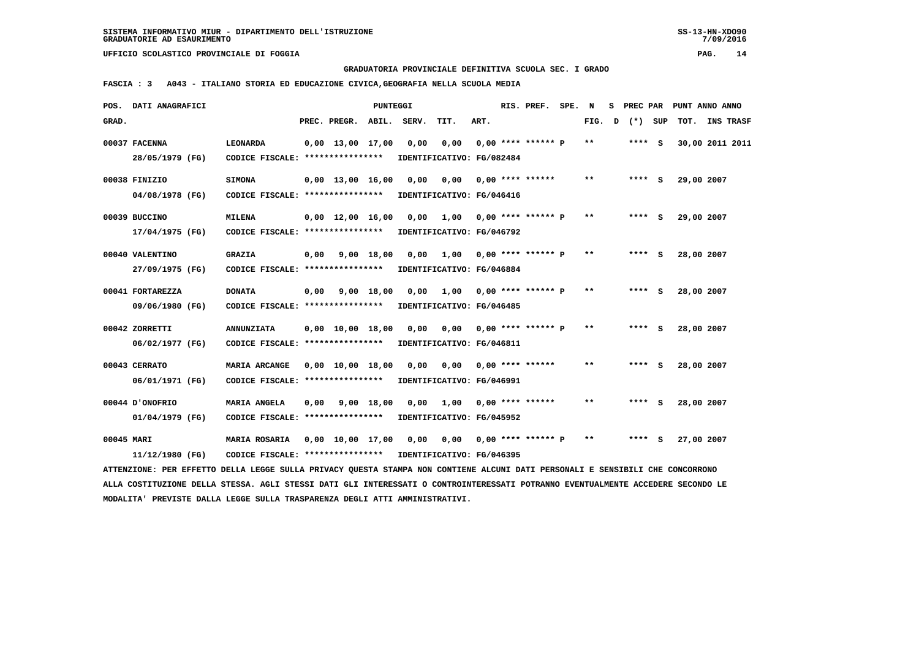**GRADUATORIA PROVINCIALE DEFINITIVA SCUOLA SEC. I GRADO**

 **FASCIA : 3 A043 - ITALIANO STORIA ED EDUCAZIONE CIVICA,GEOGRAFIA NELLA SCUOLA MEDIA**

|            | POS. DATI ANAGRAFICI                                                                                                            |                                                     |      |                                | PUNTEGGI     |                           |                                   |      | RIS. PREF. SPE.             | N     | s |         | PREC PAR PUNT ANNO ANNO |                  |
|------------|---------------------------------------------------------------------------------------------------------------------------------|-----------------------------------------------------|------|--------------------------------|--------------|---------------------------|-----------------------------------|------|-----------------------------|-------|---|---------|-------------------------|------------------|
| GRAD.      |                                                                                                                                 |                                                     |      | PREC. PREGR.                   | ABIL.        | SERV.                     | TIT.                              | ART. |                             | FIG.  | D | (*) SUP | тот.                    | <b>INS TRASF</b> |
|            | 00037 FACENNA<br>28/05/1979 (FG)                                                                                                | <b>LEONARDA</b><br>CODICE FISCALE: **************** |      | $0,00 \quad 13,00 \quad 17,00$ |              | 0,00                      | 0,00<br>IDENTIFICATIVO: FG/082484 |      | $0,00$ **** ****** P        | **    |   | **** S  | 30,00 2011 2011         |                  |
|            |                                                                                                                                 |                                                     |      |                                |              |                           |                                   |      |                             |       |   |         |                         |                  |
|            | 00038 FINIZIO                                                                                                                   | <b>SIMONA</b>                                       |      | $0.00$ 13,00 16,00             |              | 0.00                      | 0,00                              |      | 0,00 **** ******            | $* *$ |   | **** S  | 29,00 2007              |                  |
|            | 04/08/1978 (FG)                                                                                                                 | CODICE FISCALE: *****************                   |      |                                |              |                           | IDENTIFICATIVO: FG/046416         |      |                             |       |   |         |                         |                  |
|            | 00039 BUCCINO                                                                                                                   | <b>MILENA</b>                                       |      | $0.00 \quad 12.00 \quad 16.00$ |              | 0,00                      | 1,00 0,00 **** ****** P           |      |                             | $* *$ |   | **** S  | 29,00 2007              |                  |
|            | 17/04/1975 (FG)                                                                                                                 | CODICE FISCALE: ****************                    |      |                                |              |                           | IDENTIFICATIVO: FG/046792         |      |                             |       |   |         |                         |                  |
|            | 00040 VALENTINO                                                                                                                 | <b>GRAZIA</b>                                       | 0,00 |                                | $9,00$ 18,00 | 0.00                      |                                   |      | $1,00$ 0,00 **** ****** P   | $**$  |   | **** S  | 28,00 2007              |                  |
|            | 27/09/1975 (FG)                                                                                                                 | CODICE FISCALE: ****************                    |      |                                |              |                           | IDENTIFICATIVO: FG/046884         |      |                             |       |   |         |                         |                  |
|            | 00041 FORTAREZZA                                                                                                                | <b>DONATA</b>                                       | 0,00 |                                | 9,00 18,00   | 0,00                      |                                   |      | $1,00$ 0,00 **** ****** P   | $* *$ |   | $***$ S | 28,00 2007              |                  |
|            | 09/06/1980 (FG)                                                                                                                 | CODICE FISCALE: ****************                    |      |                                |              |                           | IDENTIFICATIVO: FG/046485         |      |                             |       |   |         |                         |                  |
|            | 00042 ZORRETTI                                                                                                                  | <b>ANNUNZIATA</b>                                   |      | $0.00 \quad 10.00 \quad 18.00$ |              | 0,00                      | 0,00 0,00 **** ****** P           |      |                             | $* *$ |   | **** S  | 28,00 2007              |                  |
|            | 06/02/1977 (FG)                                                                                                                 | CODICE FISCALE: ****************                    |      |                                |              |                           | IDENTIFICATIVO: FG/046811         |      |                             |       |   |         |                         |                  |
|            | 00043 CERRATO                                                                                                                   | MARIA ARCANGE                                       |      | $0,00 \quad 10,00 \quad 18,00$ |              | 0.00                      |                                   |      | $0,00$ $0,00$ **** ******   | **    |   | **** S  | 28,00 2007              |                  |
|            | 06/01/1971 (FG)                                                                                                                 | CODICE FISCALE: ****************                    |      |                                |              |                           | IDENTIFICATIVO: FG/046991         |      |                             |       |   |         |                         |                  |
|            | O0044 D'ONOFRIO                                                                                                                 | MARIA ANGELA                                        | 0.00 |                                | 9,00 18,00   | 0.00                      | 1,00                              |      | $0.00$ **** ******          | $* *$ |   | **** S  | 28,00 2007              |                  |
|            | 01/04/1979 (FG)                                                                                                                 | CODICE FISCALE: ****************                    |      |                                |              |                           | IDENTIFICATIVO: FG/045952         |      |                             |       |   |         |                         |                  |
| 00045 MARI |                                                                                                                                 | <b>MARIA ROSARIA</b>                                |      | $0,00$ $10,00$ $17,00$         |              | 0,00                      |                                   |      | $0,00$ $0,00$ **** ****** P | **    |   | **** S  | 27,00 2007              |                  |
|            | 11/12/1980 (FG)                                                                                                                 | CODICE FISCALE: ****************                    |      |                                |              | IDENTIFICATIVO: FG/046395 |                                   |      |                             |       |   |         |                         |                  |
|            | ATTENZIONE: PER EFFETTO DELLA LEGGE SULLA PRIVACY OUESTA STAMPA NON CONTIENE ALCUNI DATI PERSONALI E SENSIBILI CHE CONCORRONO   |                                                     |      |                                |              |                           |                                   |      |                             |       |   |         |                         |                  |
|            | ALLA COSTITUZIONE DELLA STESSA. AGLI STESSI DATI GLI INTERESSATI O CONTROINTERESSATI POTRANNO EVENTUALMENTE ACCEDERE SECONDO LE |                                                     |      |                                |              |                           |                                   |      |                             |       |   |         |                         |                  |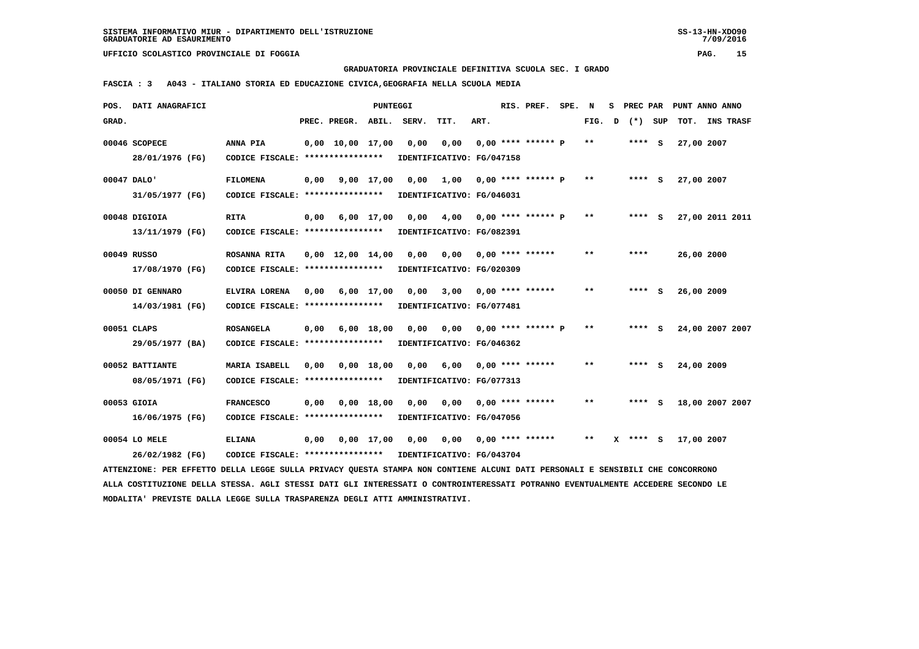**GRADUATORIA PROVINCIALE DEFINITIVA SCUOLA SEC. I GRADO**

 **FASCIA : 3 A043 - ITALIANO STORIA ED EDUCAZIONE CIVICA,GEOGRAFIA NELLA SCUOLA MEDIA**

|       | POS. DATI ANAGRAFICI                                                                                                            |                                                            |      |                              | PUNTEGGI |                           |                         |      | RIS. PREF. SPE. N            |       |   | S PREC PAR   |            | PUNT ANNO ANNO  |  |
|-------|---------------------------------------------------------------------------------------------------------------------------------|------------------------------------------------------------|------|------------------------------|----------|---------------------------|-------------------------|------|------------------------------|-------|---|--------------|------------|-----------------|--|
| GRAD. |                                                                                                                                 |                                                            |      | PREC. PREGR.                 | ABIL.    | SERV.                     | TIT.                    | ART. |                              | FIG.  | D | (*) SUP      |            | TOT. INS TRASF  |  |
|       | 00046 SCOPECE                                                                                                                   | ANNA PIA                                                   |      | 0,00 10,00 17,00             |          | 0,00                      | 0,00                    |      | $0.00$ **** ****** P         | $***$ |   | **** S       | 27,00 2007 |                 |  |
|       | 28/01/1976 (FG)                                                                                                                 | CODICE FISCALE: ****************                           |      |                              |          | IDENTIFICATIVO: FG/047158 |                         |      |                              |       |   |              |            |                 |  |
|       | 00047 DALO'                                                                                                                     | <b>FILOMENA</b>                                            |      | 0,00 9,00 17,00              |          | 0,00                      |                         |      | $1,00$ 0,00 **** ****** P ** |       |   | $***$ S      | 27,00 2007 |                 |  |
|       | 31/05/1977 (FG)                                                                                                                 | CODICE FISCALE: ****************                           |      |                              |          | IDENTIFICATIVO: FG/046031 |                         |      |                              |       |   |              |            |                 |  |
|       | 00048 DIGIOIA                                                                                                                   | <b>RITA</b>                                                |      | $0,00$ $6,00$ $17,00$ $0,00$ |          |                           | 4,00 0,00 **** ****** P |      |                              | $***$ |   | **** S       |            | 27,00 2011 2011 |  |
|       | 13/11/1979 (FG)                                                                                                                 | CODICE FISCALE: ****************                           |      |                              |          | IDENTIFICATIVO: FG/082391 |                         |      |                              |       |   |              |            |                 |  |
|       | 00049 RUSSO                                                                                                                     | <b>ROSANNA RITA</b>                                        |      | 0,00 12,00 14,00             |          | 0,00                      |                         |      | $0,00$ $0,00$ **** ******    | $* *$ |   | ****         | 26,00 2000 |                 |  |
|       | 17/08/1970 (FG)                                                                                                                 | CODICE FISCALE: ****************                           |      |                              |          | IDENTIFICATIVO: FG/020309 |                         |      |                              |       |   |              |            |                 |  |
|       | 00050 DI GENNARO                                                                                                                | ELVIRA LORENA                                              |      | $0.00 \t 6.00 \t 17.00$      |          | 0,00                      |                         |      | $3,00$ 0,00 **** ******      | $* *$ |   | **** S       | 26,00 2009 |                 |  |
|       | 14/03/1981 (FG)                                                                                                                 | CODICE FISCALE: *****************                          |      |                              |          | IDENTIFICATIVO: FG/077481 |                         |      |                              |       |   |              |            |                 |  |
|       | 00051 CLAPS                                                                                                                     | <b>ROSANGELA</b>                                           | 0,00 | 6,00 18,00                   |          | 0,00                      | 0,00 0,00 **** ****** P |      |                              | $***$ |   | $***$ S      |            | 24,00 2007 2007 |  |
|       | 29/05/1977 (BA)                                                                                                                 | CODICE FISCALE: ****************                           |      |                              |          | IDENTIFICATIVO: FG/046362 |                         |      |                              |       |   |              |            |                 |  |
|       | 00052 BATTIANTE                                                                                                                 | MARIA ISABELL                                              |      | 0,00 0,00 18,00              |          | 0.00                      |                         |      | $6,00$ 0,00 **** ******      | $* *$ |   | $***$ S      | 24,00 2009 |                 |  |
|       | 08/05/1971 (FG)                                                                                                                 | CODICE FISCALE: *****************                          |      |                              |          | IDENTIFICATIVO: FG/077313 |                         |      |                              |       |   |              |            |                 |  |
|       | 00053 GIOIA                                                                                                                     | <b>FRANCESCO</b>                                           |      | 0,00 0,00 18,00              |          | 0,00                      |                         |      | $0,00$ $0,00$ **** ******    | $***$ |   | $***$ S      |            | 18,00 2007 2007 |  |
|       | 16/06/1975 (FG)                                                                                                                 | CODICE FISCALE: *****************                          |      |                              |          | IDENTIFICATIVO: FG/047056 |                         |      |                              |       |   |              |            |                 |  |
|       | 00054 LO MELE                                                                                                                   | <b>ELIANA</b>                                              |      | $0,00$ $0,00$ $17,00$ $0,00$ |          |                           |                         |      |                              | $***$ |   | $X$ **** $S$ | 17,00 2007 |                 |  |
|       | 26/02/1982 (FG)                                                                                                                 | CODICE FISCALE: **************** IDENTIFICATIVO: FG/043704 |      |                              |          |                           |                         |      |                              |       |   |              |            |                 |  |
|       | ATTENZIONE: PER EFFETTO DELLA LEGGE SULLA PRIVACY QUESTA STAMPA NON CONTIENE ALCUNI DATI PERSONALI E SENSIBILI CHE CONCORRONO   |                                                            |      |                              |          |                           |                         |      |                              |       |   |              |            |                 |  |
|       | ALLA COSTITUZIONE DELLA STESSA. AGLI STESSI DATI GLI INTERESSATI O CONTROINTERESSATI POTRANNO EVENTUALMENTE ACCEDERE SECONDO LE |                                                            |      |                              |          |                           |                         |      |                              |       |   |              |            |                 |  |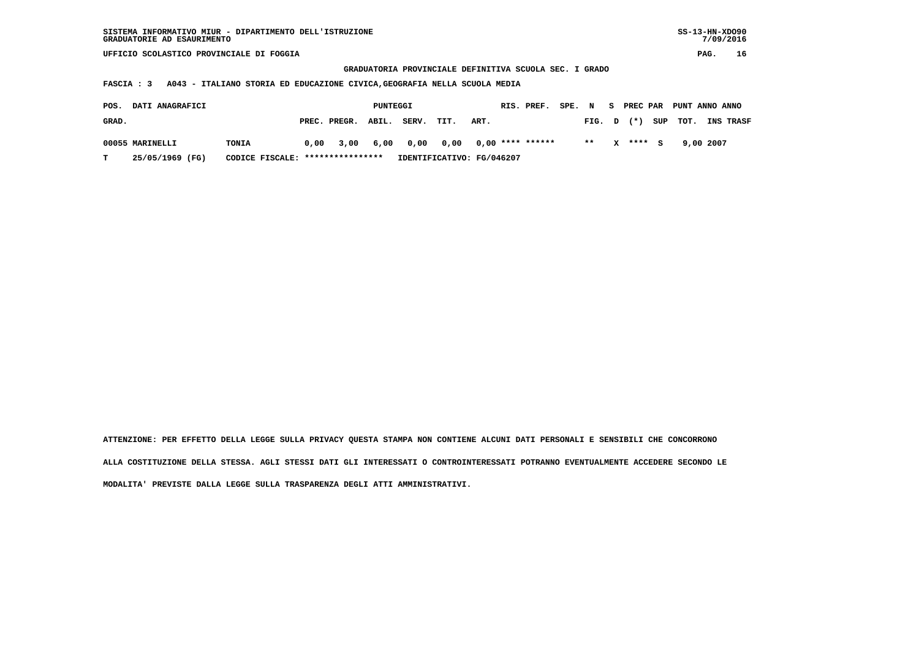**GRADUATORIA PROVINCIALE DEFINITIVA SCUOLA SEC. I GRADO**

 **FASCIA : 3 A043 - ITALIANO STORIA ED EDUCAZIONE CIVICA,GEOGRAFIA NELLA SCUOLA MEDIA**

| POS.  | <b>DATI ANAGRAFICI</b> |                                  |      |                    | PUNTEGGI |                |                           |      | RIS. PREF. | SPE. N |        | S PREC PAR | PUNT ANNO ANNO |           |           |
|-------|------------------------|----------------------------------|------|--------------------|----------|----------------|---------------------------|------|------------|--------|--------|------------|----------------|-----------|-----------|
| GRAD. |                        |                                  |      | PREC. PREGR. ABIL. |          | SERV.          | TIT.                      | ART. |            |        | FIG. D | $(*)$      | SUP TOT.       |           | INS TRASF |
|       | 00055 MARINELLI        | TONIA                            | 0.00 |                    |          | 3,00 6,00 0,00 |                           |      |            |        | $* *$  | X **** S   |                | 9,00 2007 |           |
|       | 25/05/1969 (FG)        | CODICE FISCALE: **************** |      |                    |          |                | IDENTIFICATIVO: FG/046207 |      |            |        |        |            |                |           |           |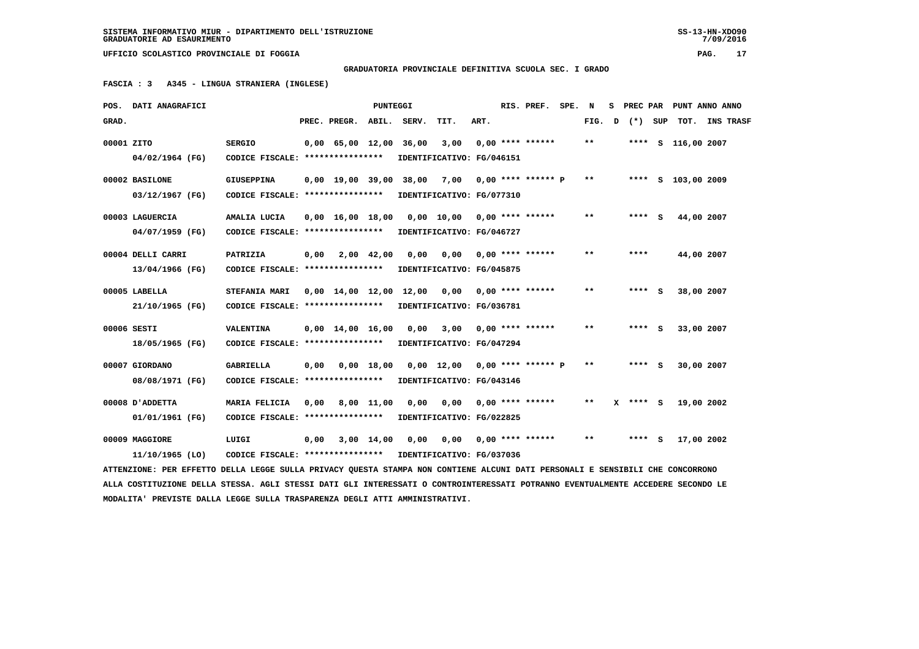**GRADUATORIA PROVINCIALE DEFINITIVA SCUOLA SEC. I GRADO**

 **FASCIA : 3 A345 - LINGUA STRANIERA (INGLESE)**

|            | POS. DATI ANAGRAFICI                                                                                                            |                                  |      |                                | PUNTEGGI     |       |                                                |      | RIS. PREF. SPE. N    |        |            |   |                    | S PREC PAR PUNT ANNO ANNO |  |
|------------|---------------------------------------------------------------------------------------------------------------------------------|----------------------------------|------|--------------------------------|--------------|-------|------------------------------------------------|------|----------------------|--------|------------|---|--------------------|---------------------------|--|
| GRAD.      |                                                                                                                                 |                                  |      | PREC. PREGR. ABIL. SERV.       |              |       | TIT.                                           | ART. |                      | FIG. D | (*) SUP    |   |                    | TOT. INS TRASF            |  |
| 00001 ZITO |                                                                                                                                 | <b>SERGIO</b>                    |      | $0,00$ 65,00 12,00             |              | 36,00 | 3,00                                           |      | $0.00$ **** ******   | **     |            |   | **** S 116,00 2007 |                           |  |
|            | 04/02/1964 (FG)                                                                                                                 | CODICE FISCALE: **************** |      |                                |              |       | IDENTIFICATIVO: FG/046151                      |      |                      |        |            |   |                    |                           |  |
|            | 00002 BASILONE                                                                                                                  | <b>GIUSEPPINA</b>                |      | $0.00 \quad 19.00 \quad 39.00$ |              |       | 38,00 7,00                                     |      | $0,00$ **** ****** P | $* *$  |            |   | **** S 103,00 2009 |                           |  |
|            | 03/12/1967 (FG)                                                                                                                 | CODICE FISCALE: **************** |      |                                |              |       | IDENTIFICATIVO: FG/077310                      |      |                      |        |            |   |                    |                           |  |
|            | 00003 LAGUERCIA                                                                                                                 | AMALIA LUCIA                     |      | $0,00 \quad 16,00 \quad 18,00$ |              |       | 0,00 10,00 0,00 **** ******                    |      |                      | $* *$  | **** S     |   | 44,00 2007         |                           |  |
|            | 04/07/1959 (FG)                                                                                                                 | CODICE FISCALE: **************** |      |                                |              |       | IDENTIFICATIVO: FG/046727                      |      |                      |        |            |   |                    |                           |  |
|            | 00004 DELLI CARRI                                                                                                               | PATRIZIA                         | 0,00 |                                | 2,00 42,00   | 0.00  | 0.00                                           |      | $0.00$ **** ******   | $* *$  | ****       |   | 44,00 2007         |                           |  |
|            | 13/04/1966 (FG)                                                                                                                 | CODICE FISCALE: **************** |      |                                |              |       | IDENTIFICATIVO: FG/045875                      |      |                      |        |            |   |                    |                           |  |
|            | 00005 LABELLA                                                                                                                   | <b>STEFANIA MARI</b>             |      |                                |              |       | $0,00$ 14,00 12,00 12,00 0,00 0,00 **** ****** |      |                      | $* *$  | **** S     |   | 38,00 2007         |                           |  |
|            | 21/10/1965 (FG)                                                                                                                 | CODICE FISCALE: **************** |      |                                |              |       | IDENTIFICATIVO: FG/036781                      |      |                      |        |            |   |                    |                           |  |
|            | 00006 SESTI                                                                                                                     | VALENTINA                        |      | $0,00 \quad 14,00 \quad 16,00$ |              | 0,00  | 3,00                                           |      | $0.00$ **** ******   | * *    | ****       | s | 33,00 2007         |                           |  |
|            | 18/05/1965 (FG)                                                                                                                 | CODICE FISCALE: **************** |      |                                |              |       | IDENTIFICATIVO: FG/047294                      |      |                      |        |            |   |                    |                           |  |
|            | 00007 GIORDANO                                                                                                                  | <b>GABRIELLA</b>                 | 0,00 |                                | $0,00$ 18,00 |       | $0,00$ 12,00 0,00 **** ****** P                |      |                      | **     | **** S     |   | 30,00 2007         |                           |  |
|            | 08/08/1971 (FG)                                                                                                                 | CODICE FISCALE: **************** |      |                                |              |       | IDENTIFICATIVO: FG/043146                      |      |                      |        |            |   |                    |                           |  |
|            | 00008 D'ADDETTA                                                                                                                 | MARIA FELICIA                    | 0,00 |                                | 8,00 11,00   | 0,00  | 0,00                                           |      | $0.00$ **** ******   | $* *$  | $X$ **** S |   | 19,00 2002         |                           |  |
|            | 01/01/1961 (FG)                                                                                                                 | CODICE FISCALE: **************** |      |                                |              |       | IDENTIFICATIVO: FG/022825                      |      |                      |        |            |   |                    |                           |  |
|            | 00009 MAGGIORE                                                                                                                  | LUIGI                            | 0,00 |                                | 3,00 14,00   | 0,00  | 0,00                                           |      | $0,00$ **** ******   | $* *$  | **** S     |   | 17,00 2002         |                           |  |
|            | 11/10/1965 (LO)                                                                                                                 | CODICE FISCALE: **************** |      |                                |              |       | IDENTIFICATIVO: FG/037036                      |      |                      |        |            |   |                    |                           |  |
|            | ATTENZIONE: PER EFFETTO DELLA LEGGE SULLA PRIVACY OUESTA STAMPA NON CONTIENE ALCUNI DATI PERSONALI E SENSIBILI CHE CONCORRONO   |                                  |      |                                |              |       |                                                |      |                      |        |            |   |                    |                           |  |
|            | ALLA COSTITUZIONE DELLA STESSA. AGLI STESSI DATI GLI INTERESSATI O CONTROINTERESSATI POTRANNO EVENTUALMENTE ACCEDERE SECONDO LE |                                  |      |                                |              |       |                                                |      |                      |        |            |   |                    |                           |  |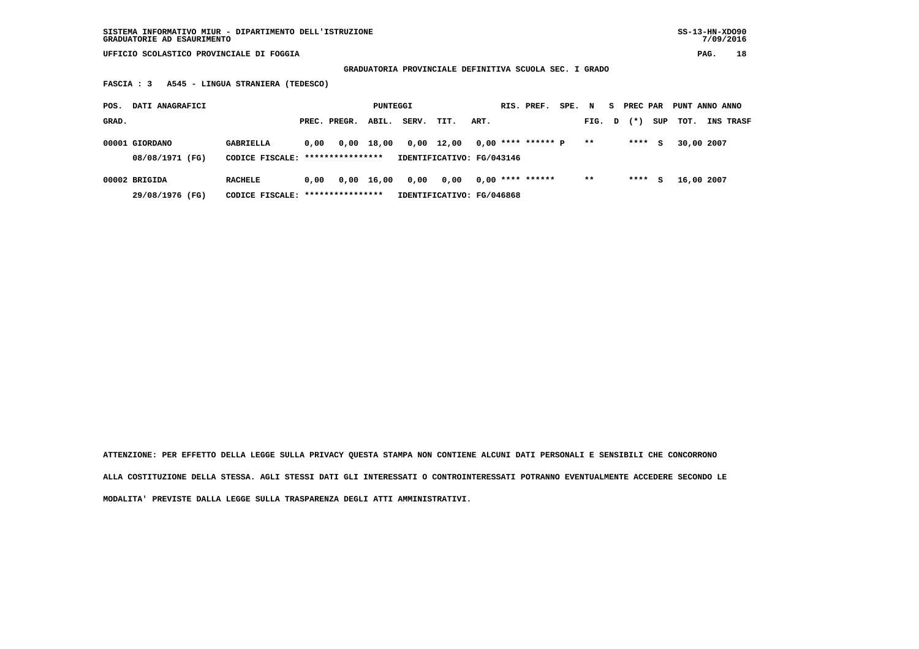**GRADUATORIA PROVINCIALE DEFINITIVA SCUOLA SEC. I GRADO**

 **FASCIA : 3 A545 - LINGUA STRANIERA (TEDESCO)**

| POS.  | DATI ANAGRAFICI                   |                                                     |      |              | PUNTEGGI |       |                                    |      | RIS. PREF.           | SPE. | N     | s. | PREC PAR |     | PUNT ANNO ANNO |            |           |
|-------|-----------------------------------|-----------------------------------------------------|------|--------------|----------|-------|------------------------------------|------|----------------------|------|-------|----|----------|-----|----------------|------------|-----------|
| GRAD. |                                   |                                                     |      | PREC. PREGR. | ABIL.    | SERV. | TIT.                               | ART. |                      |      | FIG.  | D  | $(*)$    | SUP | тот.           |            | INS TRASF |
|       | 00001 GIORDANO<br>08/08/1971 (FG) | GABRIELLA<br>CODICE FISCALE: *****************      | 0.00 | 0,00         | 18,00    | 0,00  | 12,00<br>IDENTIFICATIVO: FG/043146 |      | $0.00$ **** ****** P |      | $* *$ |    | ****     | s   |                | 30,00 2007 |           |
|       | 00002 BRIGIDA<br>29/08/1976 (FG)  | <b>RACHELE</b><br>CODICE FISCALE: ***************** | 0.00 | 0,00         | 16,00    | 0,00  | 0,00<br>IDENTIFICATIVO: FG/046868  |      | $0,00$ **** ******   |      | $***$ |    | ****     | s   |                | 16,00 2007 |           |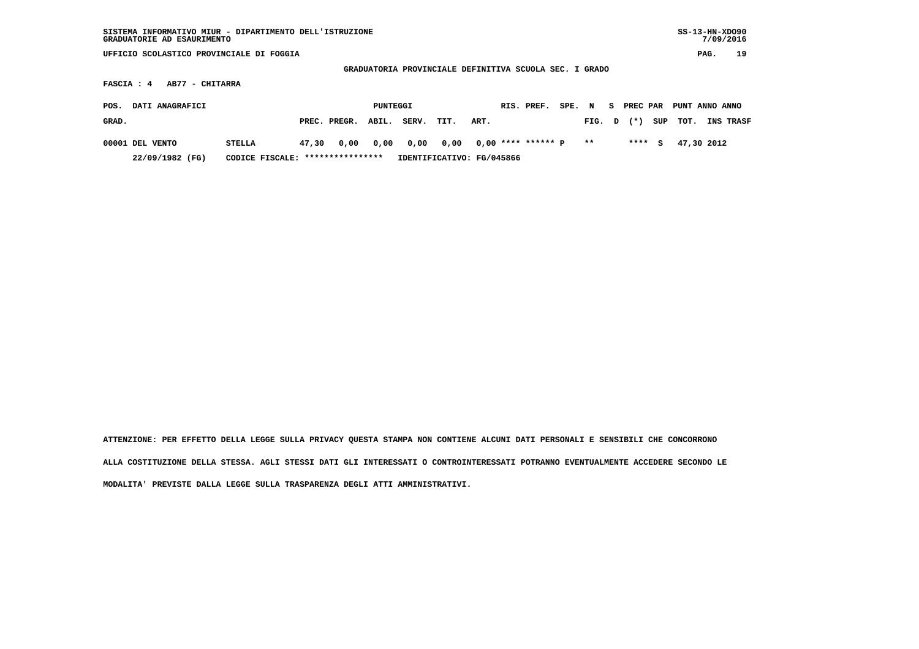| SISTEMA INFORMATIVO MIUR - DIPARTIMENTO DELL'ISTRUZIONE<br>GRADUATORIE AD ESAURIMENTO |                                   |       |              |          |       |                                                        |      |  |                      |        |       |    |          |     | $SS-13-HN-XDO90$ | 7/09/2016 |    |
|---------------------------------------------------------------------------------------|-----------------------------------|-------|--------------|----------|-------|--------------------------------------------------------|------|--|----------------------|--------|-------|----|----------|-----|------------------|-----------|----|
| UFFICIO SCOLASTICO PROVINCIALE DI FOGGIA                                              |                                   |       |              |          |       |                                                        |      |  |                      |        |       |    |          |     |                  | PAG.      | 19 |
|                                                                                       |                                   |       |              |          |       | GRADUATORIA PROVINCIALE DEFINITIVA SCUOLA SEC. I GRADO |      |  |                      |        |       |    |          |     |                  |           |    |
| FASCIA : 4                                                                            | AB77 - CHITARRA                   |       |              |          |       |                                                        |      |  |                      |        |       |    |          |     |                  |           |    |
| DATI ANAGRAFICI<br>POS.                                                               |                                   |       |              | PUNTEGGI |       |                                                        |      |  | RIS. PREF.           | SPE. N |       | S. | PREC PAR |     | PUNT ANNO ANNO   |           |    |
| GRAD.                                                                                 |                                   |       | PREC. PREGR. | ABIL.    | SERV. | TIT.                                                   | ART. |  |                      |        | FIG.  | D  | $(* )$   | SUP | TOT.             | INS TRASF |    |
| 00001 DEL VENTO                                                                       | <b>STELLA</b>                     | 47,30 | 0,00         | 0,00     | 0,00  | 0,00                                                   |      |  | $0,00$ **** ****** P |        | $* *$ |    | $***5$   |     | 47,30 2012       |           |    |
| 22/09/1982 (FG)                                                                       | CODICE FISCALE: ***************** |       |              |          |       | IDENTIFICATIVO: FG/045866                              |      |  |                      |        |       |    |          |     |                  |           |    |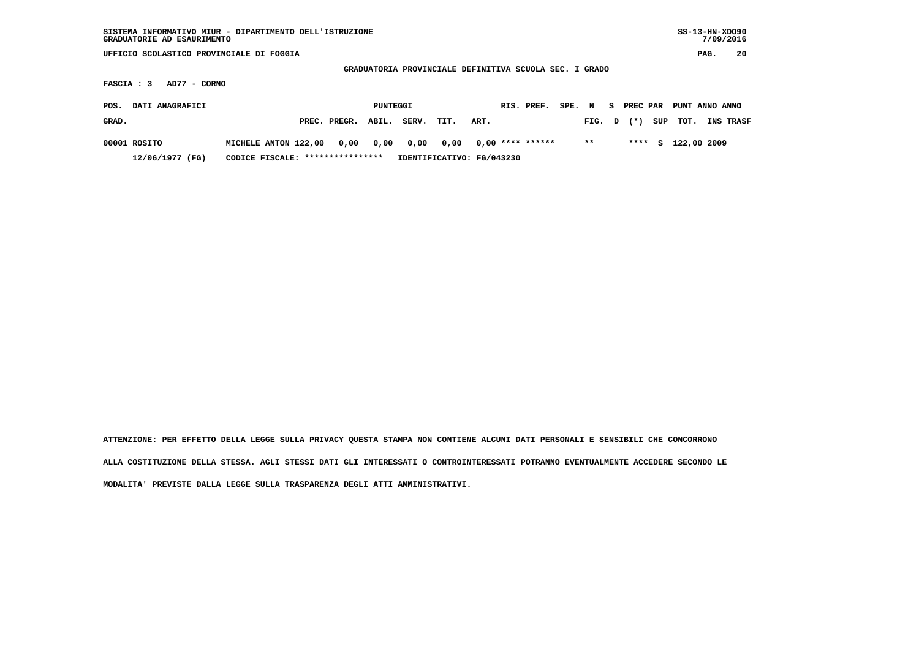| SISTEMA INFORMATIVO MIUR - DIPARTIMENTO DELL'ISTRUZIONE<br>GRADUATORIE AD ESAURIMENTO |                                   |                                                        |          |      |                           |                    |        |        |    |                 |     | $SS-13-HN-XDO90$ | 7/09/2016 |    |
|---------------------------------------------------------------------------------------|-----------------------------------|--------------------------------------------------------|----------|------|---------------------------|--------------------|--------|--------|----|-----------------|-----|------------------|-----------|----|
| UFFICIO SCOLASTICO PROVINCIALE DI FOGGIA                                              |                                   |                                                        |          |      |                           |                    |        |        |    |                 |     |                  | PAG.      | 20 |
|                                                                                       |                                   | GRADUATORIA PROVINCIALE DEFINITIVA SCUOLA SEC. I GRADO |          |      |                           |                    |        |        |    |                 |     |                  |           |    |
| FASCIA : 3<br>AD77 - CORNO                                                            |                                   |                                                        |          |      |                           |                    |        |        |    |                 |     |                  |           |    |
| DATI ANAGRAFICI<br>POS.                                                               |                                   |                                                        | PUNTEGGI |      |                           | RIS. PREF.         | SPE. N |        | S. | <b>PREC PAR</b> |     | PUNT ANNO ANNO   |           |    |
| GRAD.                                                                                 |                                   | ABIL.<br>PREC. PREGR.                                  | SERV.    | TIT. | ART.                      |                    |        | FIG. D |    | $(*)$           | SUP | TOT.             | INS TRASF |    |
| 00001 ROSITO                                                                          | MICHELE ANTON 122,00              | 0,00<br>0,00                                           | 0,00     | 0,00 |                           | $0.00$ **** ****** |        | $***$  |    | ****            | s   | 122,00 2009      |           |    |
| 12/06/1977 (FG)                                                                       | CODICE FISCALE: ***************** |                                                        |          |      | IDENTIFICATIVO: FG/043230 |                    |        |        |    |                 |     |                  |           |    |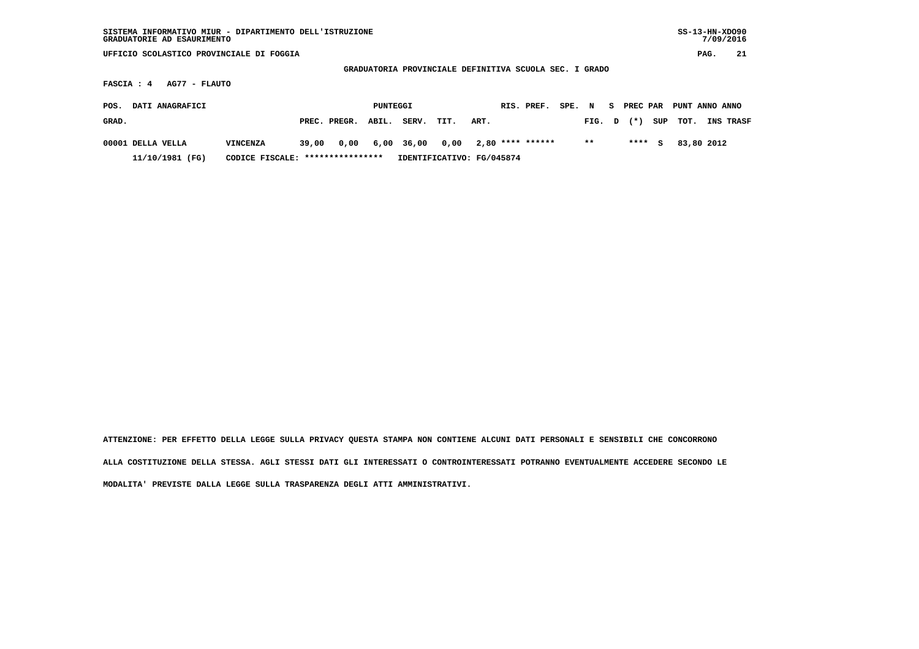| SISTEMA INFORMATIVO MIUR - DIPARTIMENTO DELL'ISTRUZIONE<br>GRADUATORIE AD ESAURIMENTO |                                   |       |              |          |       |                                                        |      |                    |        |       |    |          |     | $SS-13-HN-XDO90$ | 7/09/2016 |           |
|---------------------------------------------------------------------------------------|-----------------------------------|-------|--------------|----------|-------|--------------------------------------------------------|------|--------------------|--------|-------|----|----------|-----|------------------|-----------|-----------|
| UFFICIO SCOLASTICO PROVINCIALE DI FOGGIA                                              |                                   |       |              |          |       |                                                        |      |                    |        |       |    |          |     |                  | PAG.      | 21        |
|                                                                                       |                                   |       |              |          |       | GRADUATORIA PROVINCIALE DEFINITIVA SCUOLA SEC. I GRADO |      |                    |        |       |    |          |     |                  |           |           |
| AG77 - FLAUTO<br>FASCIA : 4                                                           |                                   |       |              |          |       |                                                        |      |                    |        |       |    |          |     |                  |           |           |
| DATI ANAGRAFICI<br>POS.                                                               |                                   |       |              | PUNTEGGI |       |                                                        |      | RIS. PREF.         | SPE. N |       | S. | PREC PAR |     | PUNT ANNO ANNO   |           |           |
| GRAD.                                                                                 |                                   |       | PREC. PREGR. | ABIL.    | SERV. | TIT.                                                   | ART. |                    |        | FIG.  | D  | $(* )$   | SUP | TOT.             |           | INS TRASF |
| 00001 DELLA VELLA                                                                     | <b>VINCENZA</b>                   | 39,00 | 0,00         | 6,00     | 36,00 | 0,00                                                   |      | $2,80$ **** ****** |        | $* *$ |    | $***$ S  |     | 83,80 2012       |           |           |
| 11/10/1981 (FG)                                                                       | CODICE FISCALE: ***************** |       |              |          |       | IDENTIFICATIVO: FG/045874                              |      |                    |        |       |    |          |     |                  |           |           |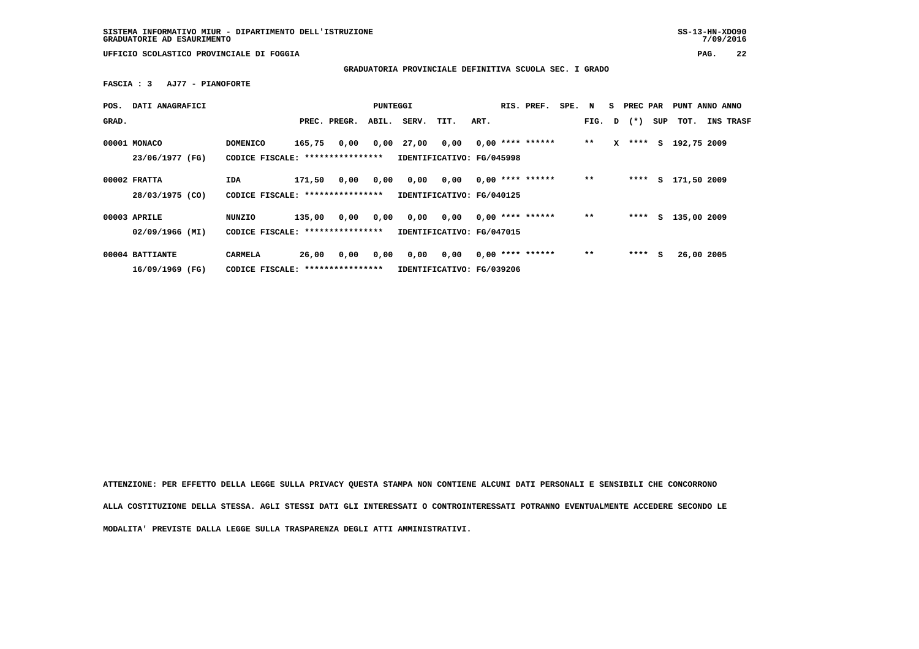**GRADUATORIA PROVINCIALE DEFINITIVA SCUOLA SEC. I GRADO**

 **FASCIA : 3 AJ77 - PIANOFORTE**

| POS.  | DATI ANAGRAFICI                    |                                                      |        |              | PUNTEGGI |       |                                   |      | RIS. PREF.         | SPE. N |       | s. | PREC PAR       |     | PUNT ANNO ANNO |           |
|-------|------------------------------------|------------------------------------------------------|--------|--------------|----------|-------|-----------------------------------|------|--------------------|--------|-------|----|----------------|-----|----------------|-----------|
| GRAD. |                                    |                                                      |        | PREC. PREGR. | ABIL.    | SERV. | TIT.                              | ART. |                    |        |       |    | FIG. $D$ $(*)$ | SUP | тот.           | INS TRASF |
|       | 00001 MONACO<br>23/06/1977 (FG)    | <b>DOMENICO</b><br>CODICE FISCALE: ***************** | 165,75 | 0,00         | 0,00     | 27,00 | 0,00<br>IDENTIFICATIVO: FG/045998 |      | $0,00$ **** ****** |        | $**$  | x  | ****           | S.  | 192,75 2009    |           |
|       | $00002$ FRATTA<br>28/03/1975 (CO)  | <b>IDA</b><br>CODICE FISCALE: ****************       | 171,50 | 0,00         | 0,00     | 0,00  | 0,00<br>IDENTIFICATIVO: FG/040125 |      | $0,00$ **** ****** |        | $**$  |    | ****           | s   | 171,50 2009    |           |
|       | 00003 APRILE<br>02/09/1966 (MI)    | NUNZIO<br>CODICE FISCALE: *****************          | 135,00 | 0,00         | 0,00     | 0,00  | 0,00<br>IDENTIFICATIVO: FG/047015 |      | $0.00$ **** ****** |        | $* *$ |    | ****           |     | S 135,00 2009  |           |
|       | 00004 BATTIANTE<br>16/09/1969 (FG) | <b>CARMELA</b><br>CODICE FISCALE: *****************  | 26,00  | 0,00         | 0,00     | 0,00  | 0,00<br>IDENTIFICATIVO: FG/039206 |      | $0.00$ **** ****** |        | $**$  |    | ****           | s   | 26,00 2005     |           |